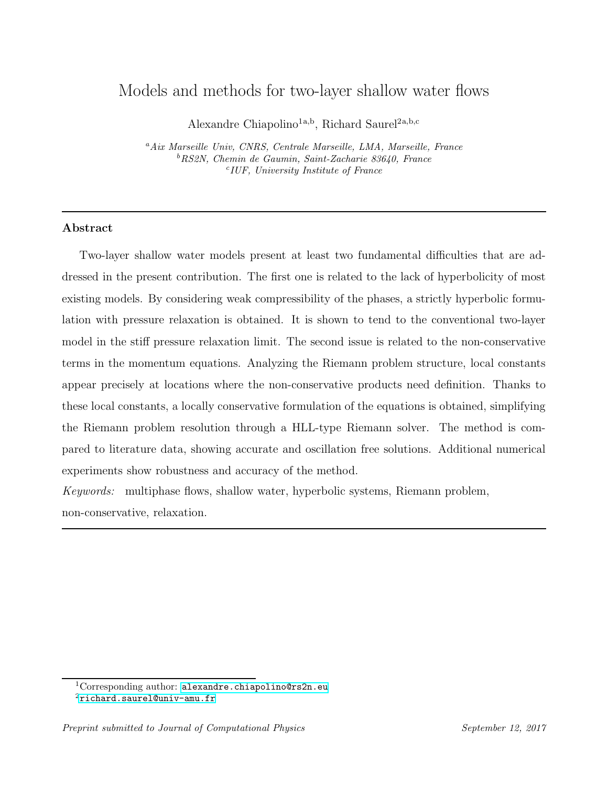# Models and methods for two-layer shallow water flows

Alexandre Chiapolino<sup>1a,b</sup>, Richard Saurel<sup>2a,b,c</sup>

<sup>a</sup>Aix Marseille Univ, CNRS, Centrale Marseille, LMA, Marseille, France <sup>b</sup>RS2N, Chemin de Gaumin, Saint-Zacharie 83640, France c IUF, University Institute of France

# Abstract

Two-layer shallow water models present at least two fundamental difficulties that are addressed in the present contribution. The first one is related to the lack of hyperbolicity of most existing models. By considering weak compressibility of the phases, a strictly hyperbolic formulation with pressure relaxation is obtained. It is shown to tend to the conventional two-layer model in the stiff pressure relaxation limit. The second issue is related to the non-conservative terms in the momentum equations. Analyzing the Riemann problem structure, local constants appear precisely at locations where the non-conservative products need definition. Thanks to these local constants, a locally conservative formulation of the equations is obtained, simplifying the Riemann problem resolution through a HLL-type Riemann solver. The method is compared to literature data, showing accurate and oscillation free solutions. Additional numerical experiments show robustness and accuracy of the method.

Keywords: multiphase flows, shallow water, hyperbolic systems, Riemann problem, non-conservative, relaxation.

<sup>&</sup>lt;sup>1</sup>Corresponding author: [alexandre.chiapolino@rs2n.eu](mailto:alexandre.chiapolino@rs2n.eu)

<sup>2</sup>[richard.saurel@univ-amu.fr](mailto:richard.saurel@univ-amu.fr)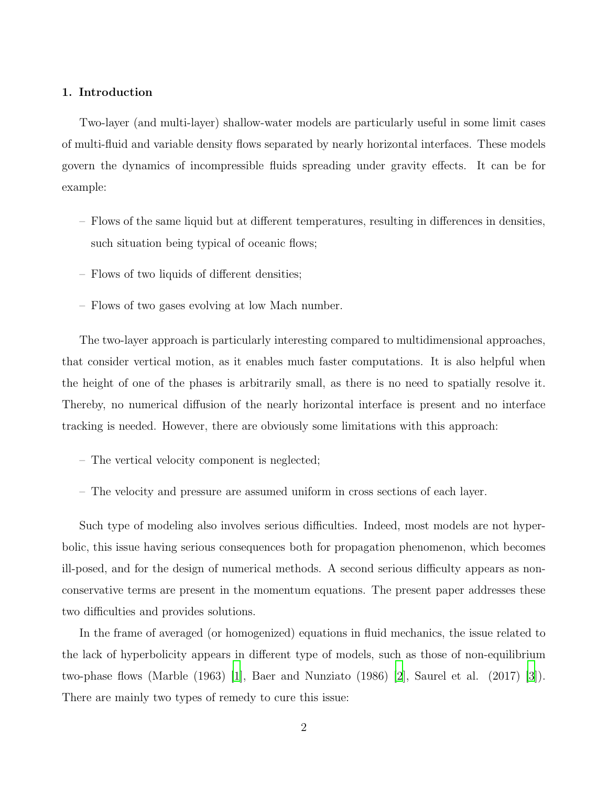## 1. Introduction

Two-layer (and multi-layer) shallow-water models are particularly useful in some limit cases of multi-fluid and variable density flows separated by nearly horizontal interfaces. These models govern the dynamics of incompressible fluids spreading under gravity effects. It can be for example:

- Flows of the same liquid but at different temperatures, resulting in differences in densities, such situation being typical of oceanic flows;
- Flows of two liquids of different densities;
- Flows of two gases evolving at low Mach number.

The two-layer approach is particularly interesting compared to multidimensional approaches, that consider vertical motion, as it enables much faster computations. It is also helpful when the height of one of the phases is arbitrarily small, as there is no need to spatially resolve it. Thereby, no numerical diffusion of the nearly horizontal interface is present and no interface tracking is needed. However, there are obviously some limitations with this approach:

- The vertical velocity component is neglected;
- The velocity and pressure are assumed uniform in cross sections of each layer.

Such type of modeling also involves serious difficulties. Indeed, most models are not hyperbolic, this issue having serious consequences both for propagation phenomenon, which becomes ill-posed, and for the design of numerical methods. A second serious difficulty appears as nonconservative terms are present in the momentum equations. The present paper addresses these two difficulties and provides solutions.

In the frame of averaged (or homogenized) equations in fluid mechanics, the issue related to the lack of hyperbolicity appears in different type of models, such as those of non-equilibrium two-phase flows (Marble  $(1963)$  [\[1\]](#page-35-0), Baer and Nunziato  $(1986)$  [\[2\]](#page-35-1), Saurel et al.  $(2017)$  [\[3\]](#page-35-2)). There are mainly two types of remedy to cure this issue: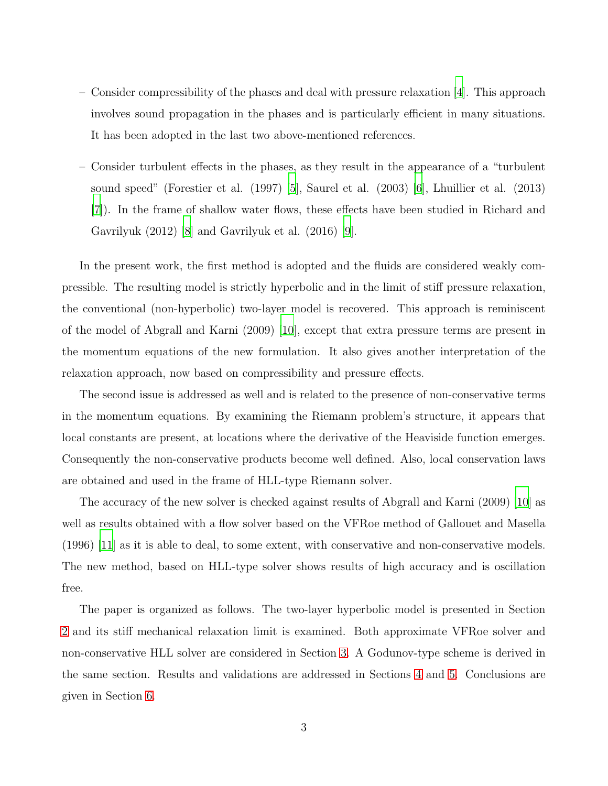- Consider compressibility of the phases and deal with pressure relaxation [\[4\]](#page-35-3). This approach involves sound propagation in the phases and is particularly efficient in many situations. It has been adopted in the last two above-mentioned references.
- Consider turbulent effects in the phases, as they result in the appearance of a "turbulent sound speed" (Forestier et al. (1997) [\[5\]](#page-35-4), Saurel et al. (2003) [\[6](#page-35-5)], Lhuillier et al. (2013) [\[7\]](#page-35-6)). In the frame of shallow water flows, these effects have been studied in Richard and Gavrilyuk (2012) [\[8\]](#page-35-7) and Gavrilyuk et al. (2016) [\[9](#page-35-8)].

In the present work, the first method is adopted and the fluids are considered weakly compressible. The resulting model is strictly hyperbolic and in the limit of stiff pressure relaxation, the conventional (non-hyperbolic) two-layer model is recovered. This approach is reminiscent of the model of Abgrall and Karni (2009) [\[10\]](#page-35-9), except that extra pressure terms are present in the momentum equations of the new formulation. It also gives another interpretation of the relaxation approach, now based on compressibility and pressure effects.

The second issue is addressed as well and is related to the presence of non-conservative terms in the momentum equations. By examining the Riemann problem's structure, it appears that local constants are present, at locations where the derivative of the Heaviside function emerges. Consequently the non-conservative products become well defined. Also, local conservation laws are obtained and used in the frame of HLL-type Riemann solver.

The accuracy of the new solver is checked against results of Abgrall and Karni (2009) [\[10](#page-35-9)] as well as results obtained with a flow solver based on the VFRoe method of Gallouet and Masella (1996) [\[11\]](#page-36-0) as it is able to deal, to some extent, with conservative and non-conservative models. The new method, based on HLL-type solver shows results of high accuracy and is oscillation free.

The paper is organized as follows. The two-layer hyperbolic model is presented in Section [2](#page-3-0) and its stiff mechanical relaxation limit is examined. Both approximate VFRoe solver and non-conservative HLL solver are considered in Section [3.](#page-9-0) A Godunov-type scheme is derived in the same section. Results and validations are addressed in Sections [4](#page-14-0) and [5.](#page-27-0) Conclusions are given in Section [6.](#page-31-0)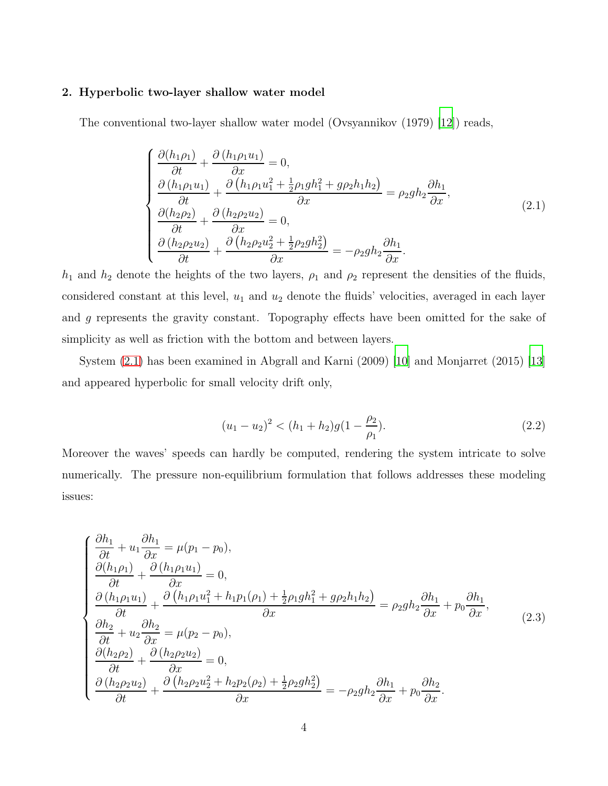## <span id="page-3-0"></span>2. Hyperbolic two-layer shallow water model

<span id="page-3-1"></span>The conventional two-layer shallow water model (Ovsyannikov (1979) [\[12\]](#page-36-1)) reads,

$$
\begin{cases}\n\frac{\partial (h_1 \rho_1)}{\partial t} + \frac{\partial (h_1 \rho_1 u_1)}{\partial x} = 0, \\
\frac{\partial (h_1 \rho_1 u_1)}{\partial t} + \frac{\partial (h_1 \rho_1 u_1^2 + \frac{1}{2} \rho_1 g h_1^2 + g \rho_2 h_1 h_2)}{\partial x} = \rho_2 g h_2 \frac{\partial h_1}{\partial x}, \\
\frac{\partial (h_2 \rho_2)}{\partial t} + \frac{\partial (h_2 \rho_2 u_2)}{\partial x} = 0, \\
\frac{\partial (h_2 \rho_2 u_2)}{\partial t} + \frac{\partial (h_2 \rho_2 u_2^2 + \frac{1}{2} \rho_2 g h_2^2)}{\partial x} = -\rho_2 g h_2 \frac{\partial h_1}{\partial x}.\n\end{cases} (2.1)
$$

 $h_1$  and  $h_2$  denote the heights of the two layers,  $\rho_1$  and  $\rho_2$  represent the densities of the fluids, considered constant at this level,  $u_1$  and  $u_2$  denote the fluids' velocities, averaged in each layer and g represents the gravity constant. Topography effects have been omitted for the sake of simplicity as well as friction with the bottom and between layers.

System [\(2.1\)](#page-3-1) has been examined in Abgrall and Karni (2009) [\[10\]](#page-35-9) and Monjarret (2015) [\[13](#page-36-2)] and appeared hyperbolic for small velocity drift only,

$$
(u_1 - u_2)^2 < (h_1 + h_2)g(1 - \frac{\rho_2}{\rho_1}).\tag{2.2}
$$

<span id="page-3-2"></span>Moreover the waves' speeds can hardly be computed, rendering the system intricate to solve numerically. The pressure non-equilibrium formulation that follows addresses these modeling issues:

$$
\begin{cases}\n\frac{\partial h_1}{\partial t} + u_1 \frac{\partial h_1}{\partial x} = \mu(p_1 - p_0), \\
\frac{\partial (h_1 \rho_1)}{\partial t} + \frac{\partial (h_1 \rho_1 u_1)}{\partial x} = 0, \\
\frac{\partial (h_1 \rho_1 u_1)}{\partial t} + \frac{\partial (h_1 \rho_1 u_1^2 + h_1 p_1(\rho_1) + \frac{1}{2} \rho_1 g h_1^2 + g \rho_2 h_1 h_2)}{\partial x} = \rho_2 g h_2 \frac{\partial h_1}{\partial x} + p_0 \frac{\partial h_1}{\partial x}, \\
\frac{\partial h_2}{\partial t} + u_2 \frac{\partial h_2}{\partial x} = \mu(p_2 - p_0), \\
\frac{\partial (h_2 \rho_2)}{\partial t} + \frac{\partial (h_2 \rho_2 u_2)}{\partial x} = 0, \\
\frac{\partial (h_2 \rho_2 u_2)}{\partial t} + \frac{\partial (h_2 \rho_2 u_2^2 + h_2 p_2(\rho_2) + \frac{1}{2} \rho_2 g h_2^2)}{\partial x} = -\rho_2 g h_2 \frac{\partial h_1}{\partial x} + p_0 \frac{\partial h_2}{\partial x}.\n\end{cases} (2.3)
$$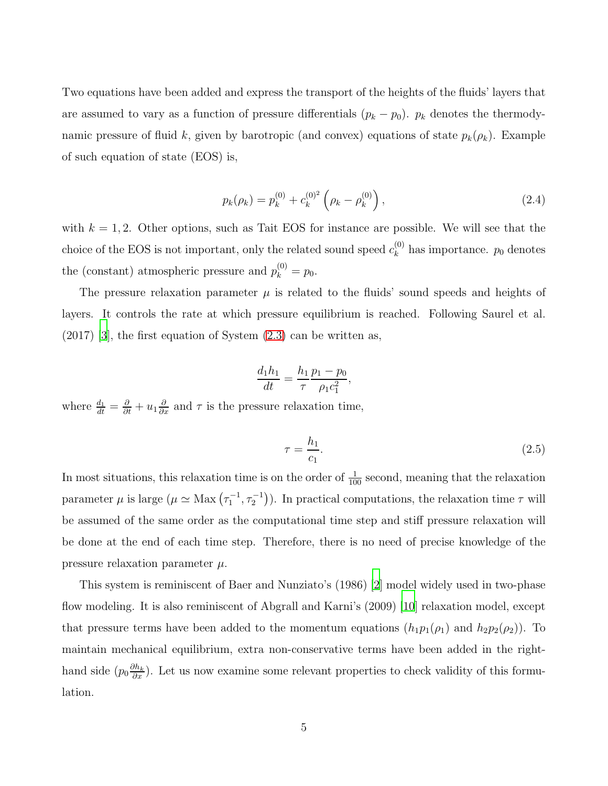<span id="page-4-0"></span>Two equations have been added and express the transport of the heights of the fluids' layers that are assumed to vary as a function of pressure differentials  $(p_k - p_0)$ .  $p_k$  denotes the thermodynamic pressure of fluid k, given by barotropic (and convex) equations of state  $p_k(\rho_k)$ . Example of such equation of state (EOS) is,

$$
p_k(\rho_k) = p_k^{(0)} + c_k^{(0)^2} \left(\rho_k - \rho_k^{(0)}\right), \qquad (2.4)
$$

with  $k = 1, 2$ . Other options, such as Tait EOS for instance are possible. We will see that the choice of the EOS is not important, only the related sound speed  $c_k^{(0)}$  $\binom{0}{k}$  has importance.  $p_0$  denotes the (constant) atmospheric pressure and  $p_k^{(0)} = p_0$ .

The pressure relaxation parameter  $\mu$  is related to the fluids' sound speeds and heights of layers. It controls the rate at which pressure equilibrium is reached. Following Saurel et al.  $(2017)$  [\[3\]](#page-35-2), the first equation of System  $(2.3)$  can be written as,

$$
\frac{d_1 h_1}{dt} = \frac{h_1 p_1 - p_0}{\tau} \frac{\rho_1 c_1^2}{\rho_1 c_1^2},
$$

where  $\frac{d_1}{dt} = \frac{\partial}{\partial t} + u_1 \frac{\partial}{\partial x}$  and  $\tau$  is the pressure relaxation time,

$$
\tau = \frac{h_1}{c_1}.\tag{2.5}
$$

In most situations, this relaxation time is on the order of  $\frac{1}{100}$  second, meaning that the relaxation parameter  $\mu$  is large  $(\mu \simeq \text{Max}(\tau_1^{-1}, \tau_2^{-1}))$ . In practical computations, the relaxation time  $\tau$  will be assumed of the same order as the computational time step and stiff pressure relaxation will be done at the end of each time step. Therefore, there is no need of precise knowledge of the pressure relaxation parameter  $\mu$ .

This system is reminiscent of Baer and Nunziato's (1986) [\[2](#page-35-1)] model widely used in two-phase flow modeling. It is also reminiscent of Abgrall and Karni's (2009) [\[10\]](#page-35-9) relaxation model, except that pressure terms have been added to the momentum equations  $(h_1p_1(\rho_1)$  and  $h_2p_2(\rho_2)$ ). To maintain mechanical equilibrium, extra non-conservative terms have been added in the righthand side  $(p_0 \frac{\partial h_k}{\partial x})$ . Let us now examine some relevant properties to check validity of this formulation.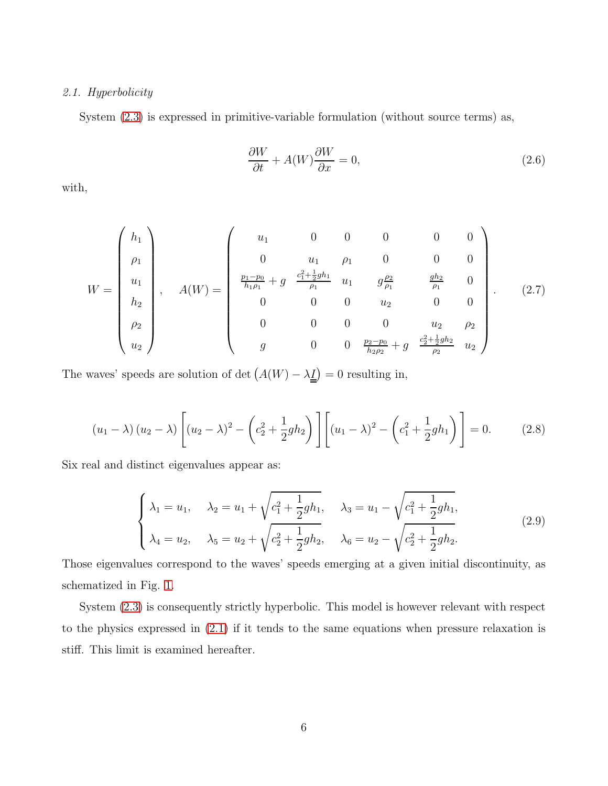# 2.1. Hyperbolicity

System [\(2.3\)](#page-3-2) is expressed in primitive-variable formulation (without source terms) as,

$$
\frac{\partial W}{\partial t} + A(W)\frac{\partial W}{\partial x} = 0, \qquad (2.6)
$$

with,

$$
W = \begin{pmatrix} h_1 \\ \rho_1 \\ u_1 \\ h_2 \\ \rho_2 \\ u_2 \end{pmatrix}, \quad A(W) = \begin{pmatrix} u_1 & 0 & 0 & 0 & 0 & 0 \\ 0 & u_1 & \rho_1 & 0 & 0 & 0 \\ \frac{p_1 - p_0}{h_1 \rho_1} + g & \frac{c_1^2 + \frac{1}{2}gh_1}{\rho_1} & u_1 & g\frac{\rho_2}{\rho_1} & \frac{gh_2}{\rho_1} & 0 \\ 0 & 0 & 0 & u_2 & 0 & 0 \\ 0 & 0 & 0 & 0 & u_2 & \rho_2 \\ g & 0 & 0 & \frac{p_2 - p_0}{h_2 \rho_2} + g & \frac{c_2^2 + \frac{1}{2}gh_2}{\rho_2} & u_2 \end{pmatrix} .
$$
 (2.7)

The waves' speeds are solution of det  $(A(W) - \lambda \underline{\underline{I}}) = 0$  resulting in,

$$
(u_1 - \lambda) (u_2 - \lambda) \left[ (u_2 - \lambda)^2 - \left( c_2^2 + \frac{1}{2} g h_2 \right) \right] \left[ (u_1 - \lambda)^2 - \left( c_1^2 + \frac{1}{2} g h_1 \right) \right] = 0. \tag{2.8}
$$

<span id="page-5-0"></span>Six real and distinct eigenvalues appear as:

$$
\begin{cases}\n\lambda_1 = u_1, & \lambda_2 = u_1 + \sqrt{c_1^2 + \frac{1}{2}gh_1}, & \lambda_3 = u_1 - \sqrt{c_1^2 + \frac{1}{2}gh_1}, \\
\lambda_4 = u_2, & \lambda_5 = u_2 + \sqrt{c_2^2 + \frac{1}{2}gh_2}, & \lambda_6 = u_2 - \sqrt{c_2^2 + \frac{1}{2}gh_2}.\n\end{cases}
$$
\n(2.9)

Those eigenvalues correspond to the waves' speeds emerging at a given initial discontinuity, as schematized in Fig. [1.](#page-6-0)

System [\(2.3\)](#page-3-2) is consequently strictly hyperbolic. This model is however relevant with respect to the physics expressed in [\(2.1\)](#page-3-1) if it tends to the same equations when pressure relaxation is stiff. This limit is examined hereafter.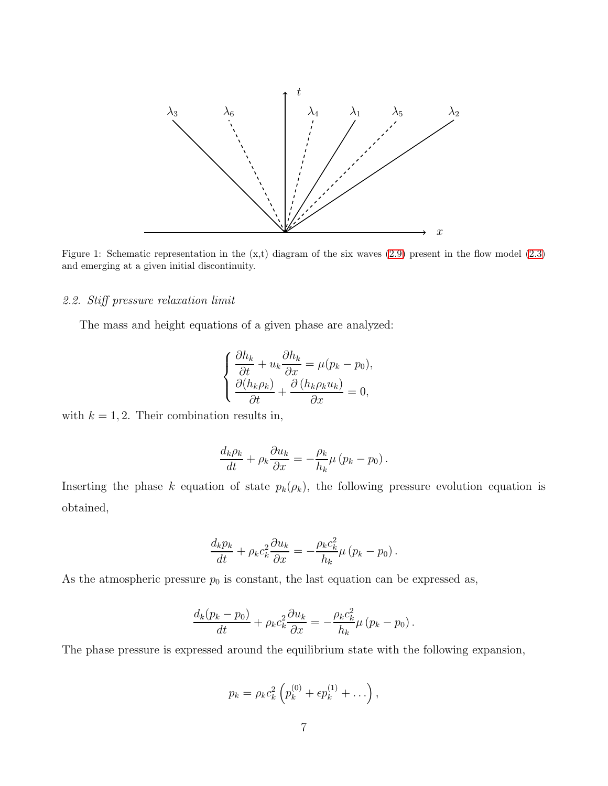<span id="page-6-0"></span>

Figure 1: Schematic representation in the  $(x,t)$  diagram of the six waves  $(2.9)$  present in the flow model  $(2.3)$ and emerging at a given initial discontinuity.

## 2.2. Stiff pressure relaxation limit

The mass and height equations of a given phase are analyzed:

$$
\begin{cases} \frac{\partial h_k}{\partial t} + u_k \frac{\partial h_k}{\partial x} = \mu (p_k - p_0), \\ \frac{\partial (h_k \rho_k)}{\partial t} + \frac{\partial (h_k \rho_k u_k)}{\partial x} = 0, \end{cases}
$$

with  $k = 1, 2$ . Their combination results in,

$$
\frac{d_k \rho_k}{dt} + \rho_k \frac{\partial u_k}{\partial x} = -\frac{\rho_k}{h_k} \mu (p_k - p_0).
$$

Inserting the phase k equation of state  $p_k(\rho_k)$ , the following pressure evolution equation is obtained,

$$
\frac{d_k p_k}{dt} + \rho_k c_k^2 \frac{\partial u_k}{\partial x} = -\frac{\rho_k c_k^2}{h_k} \mu (p_k - p_0).
$$

As the atmospheric pressure  $p_0$  is constant, the last equation can be expressed as,

$$
\frac{d_k(p_k - p_0)}{dt} + \rho_k c_k^2 \frac{\partial u_k}{\partial x} = -\frac{\rho_k c_k^2}{h_k} \mu (p_k - p_0).
$$

The phase pressure is expressed around the equilibrium state with the following expansion,

$$
p_k = \rho_k c_k^2 \left( p_k^{(0)} + \epsilon p_k^{(1)} + \ldots \right),
$$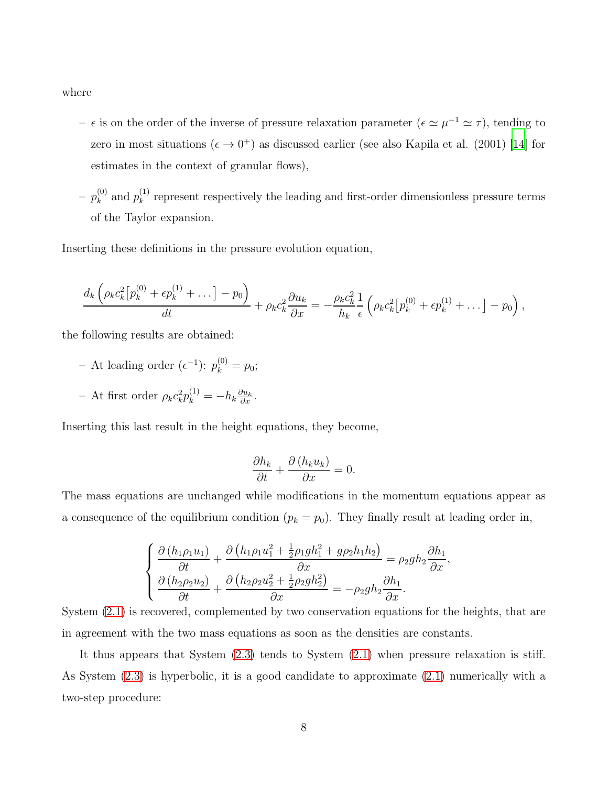where

- $-$  ε is on the order of the inverse of pressure relaxation parameter (ε  $\approx \mu^{-1} \approx \tau$ ), tending to zero in most situations  $(\epsilon \to 0^+)$  as discussed earlier (see also Kapila et al. (2001) [\[14\]](#page-36-3) for estimates in the context of granular flows),
- $-~ p_k^{(0)}$  $_{k}^{(0)}$  and  $p_{k}^{(1)}$  $k<sup>(1)</sup>$  represent respectively the leading and first-order dimensionless pressure terms of the Taylor expansion.

Inserting these definitions in the pressure evolution equation,

$$
\frac{d_k \left(\rho_k c_k^2 \left[p_k^{(0)} + \epsilon p_k^{(1)} + \dots\right] - p_0\right)}{dt} + \rho_k c_k^2 \frac{\partial u_k}{\partial x} = -\frac{\rho_k c_k^2}{h_k} \frac{1}{\epsilon} \left(\rho_k c_k^2 \left[p_k^{(0)} + \epsilon p_k^{(1)} + \dots\right] - p_0\right),
$$

the following results are obtained:

- − At leading order  $(e^{-1})$ :  $p_k^{(0)} = p_0$ ;
- At first order  $\rho_k c_k^2 p_k^{(1)} = -h_k \frac{\partial u_k}{\partial x}$ .

Inserting this last result in the height equations, they become,

$$
\frac{\partial h_k}{\partial t} + \frac{\partial (h_k u_k)}{\partial x} = 0.
$$

The mass equations are unchanged while modifications in the momentum equations appear as a consequence of the equilibrium condition  $(p_k = p_0)$ . They finally result at leading order in,

$$
\begin{cases}\n\frac{\partial (h_1 \rho_1 u_1)}{\partial t} + \frac{\partial (h_1 \rho_1 u_1^2 + \frac{1}{2} \rho_1 g h_1^2 + g \rho_2 h_1 h_2)}{\partial x} = \rho_2 g h_2 \frac{\partial h_1}{\partial x}, \\
\frac{\partial (h_2 \rho_2 u_2)}{\partial t} + \frac{\partial (h_2 \rho_2 u_2^2 + \frac{1}{2} \rho_2 g h_2^2)}{\partial x} = -\rho_2 g h_2 \frac{\partial h_1}{\partial x}.\n\end{cases}
$$

System [\(2.1\)](#page-3-1) is recovered, complemented by two conservation equations for the heights, that are in agreement with the two mass equations as soon as the densities are constants.

It thus appears that System [\(2.3\)](#page-3-2) tends to System [\(2.1\)](#page-3-1) when pressure relaxation is stiff. As System [\(2.3\)](#page-3-2) is hyperbolic, it is a good candidate to approximate [\(2.1\)](#page-3-1) numerically with a two-step procedure: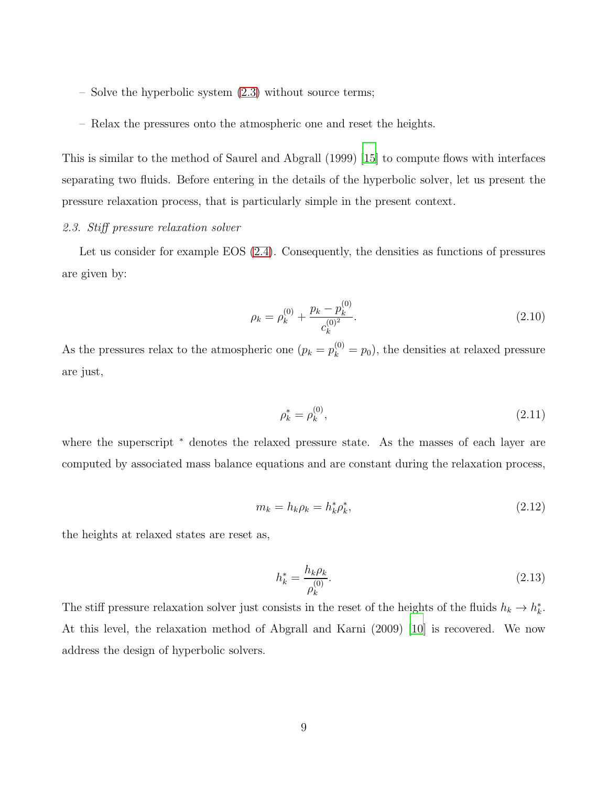- Solve the hyperbolic system [\(2.3\)](#page-3-2) without source terms;
- Relax the pressures onto the atmospheric one and reset the heights.

This is similar to the method of Saurel and Abgrall (1999) [\[15](#page-36-4)] to compute flows with interfaces separating two fluids. Before entering in the details of the hyperbolic solver, let us present the pressure relaxation process, that is particularly simple in the present context.

## 2.3. Stiff pressure relaxation solver

Let us consider for example EOS [\(2.4\)](#page-4-0). Consequently, the densities as functions of pressures are given by:

$$
\rho_k = \rho_k^{(0)} + \frac{p_k - p_k^{(0)}}{c_k^{(0)^2}}.
$$
\n(2.10)

As the pressures relax to the atmospheric one  $(p_k = p_k^{(0)} = p_0)$ , the densities at relaxed pressure are just,

$$
\rho_k^* = \rho_k^{(0)},\tag{2.11}
$$

where the superscript <sup>\*</sup> denotes the relaxed pressure state. As the masses of each layer are computed by associated mass balance equations and are constant during the relaxation process,

$$
m_k = h_k \rho_k = h_k^* \rho_k^*,\tag{2.12}
$$

<span id="page-8-0"></span>the heights at relaxed states are reset as,

$$
h_k^* = \frac{h_k \rho_k}{\rho_k^{(0)}}.
$$
\n(2.13)

The stiff pressure relaxation solver just consists in the reset of the heights of the fluids  $h_k \to h_k^*$  $\frac{k}{k}$ . At this level, the relaxation method of Abgrall and Karni (2009) [\[10](#page-35-9)] is recovered. We now address the design of hyperbolic solvers.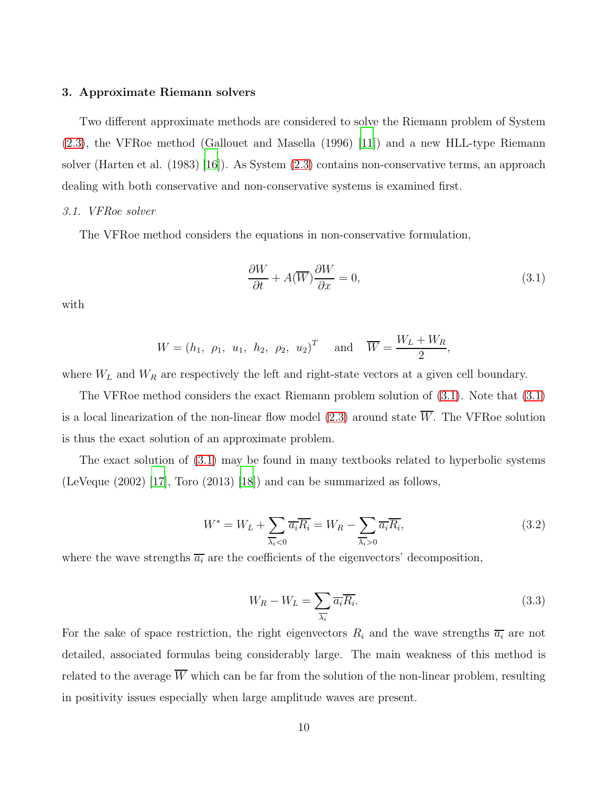## <span id="page-9-0"></span>3. Approximate Riemann solvers

Two different approximate methods are considered to solve the Riemann problem of System [\(2.3\)](#page-3-2), the VFRoe method (Gallouet and Masella (1996) [\[11\]](#page-36-0)) and a new HLL-type Riemann solver (Harten et al. (1983) [\[16\]](#page-36-5)). As System [\(2.3\)](#page-3-2) contains non-conservative terms, an approach dealing with both conservative and non-conservative systems is examined first.

#### <span id="page-9-1"></span>3.1. VFRoe solver

The VFRoe method considers the equations in non-conservative formulation,

$$
\frac{\partial W}{\partial t} + A(\overline{W}) \frac{\partial W}{\partial x} = 0, \tag{3.1}
$$

with

$$
W = (h_1, \rho_1, u_1, h_2, \rho_2, u_2)^T
$$
 and  $\overline{W} = \frac{W_L + W_R}{2}$ ,

where  $W_L$  and  $W_R$  are respectively the left and right-state vectors at a given cell boundary.

The VFRoe method considers the exact Riemann problem solution of [\(3.1\)](#page-9-1). Note that [\(3.1\)](#page-9-1) is a local linearization of the non-linear flow model [\(2.3\)](#page-3-2) around state  $\overline{W}$ . The VFRoe solution is thus the exact solution of an approximate problem.

<span id="page-9-2"></span>The exact solution of [\(3.1\)](#page-9-1) may be found in many textbooks related to hyperbolic systems (LeVeque  $(2002)$  [\[17\]](#page-36-6), Toro  $(2013)$  [\[18\]](#page-36-7)) and can be summarized as follows,

$$
W^* = W_L + \sum_{\overline{\lambda_i} < 0} \overline{a_i} \overline{R_i} = W_R - \sum_{\overline{\lambda_i} > 0} \overline{a_i} \overline{R_i},\tag{3.2}
$$

where the wave strengths  $\overline{a_i}$  are the coefficients of the eigenvectors' decomposition,

$$
W_R - W_L = \sum_{\overline{\lambda_i}} \overline{a_i} \overline{R_i}.
$$
\n(3.3)

For the sake of space restriction, the right eigenvectors  $R_i$  and the wave strengths  $\overline{a_i}$  are not detailed, associated formulas being considerably large. The main weakness of this method is related to the average  $\overline{W}$  which can be far from the solution of the non-linear problem, resulting in positivity issues especially when large amplitude waves are present.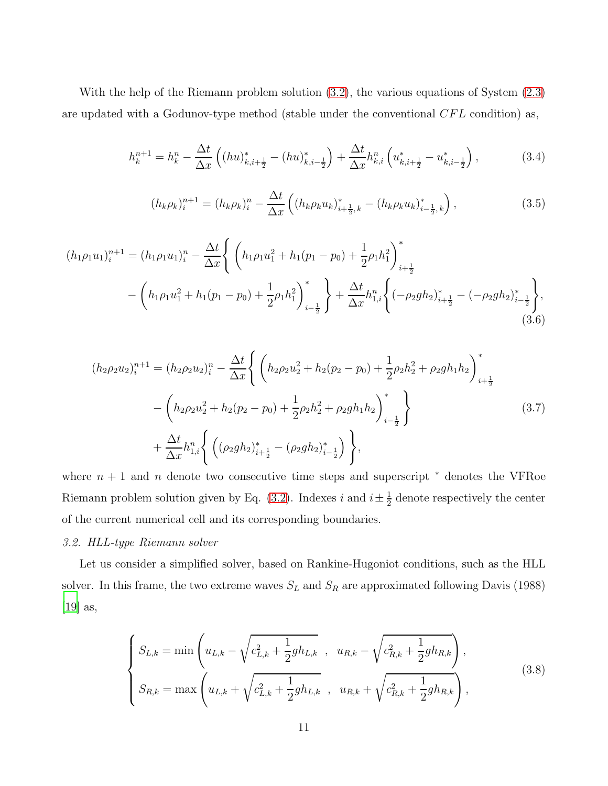With the help of the Riemann problem solution [\(3.2\)](#page-9-2), the various equations of System [\(2.3\)](#page-3-2) are updated with a Godunov-type method (stable under the conventional  $CFL$  condition) as,

$$
h_k^{n+1} = h_k^n - \frac{\Delta t}{\Delta x} \left( (hu)_{k,i+\frac{1}{2}}^* - (hu)_{k,i-\frac{1}{2}}^* \right) + \frac{\Delta t}{\Delta x} h_{k,i}^n \left( u_{k,i+\frac{1}{2}}^* - u_{k,i-\frac{1}{2}}^* \right),\tag{3.4}
$$

$$
(h_k \rho_k)_i^{n+1} = (h_k \rho_k)_i^n - \frac{\Delta t}{\Delta x} \left( (h_k \rho_k u_k)_{i + \frac{1}{2}, k}^* - (h_k \rho_k u_k)_{i - \frac{1}{2}, k}^* \right), \tag{3.5}
$$

$$
(h_1 \rho_1 u_1)_i^{n+1} = (h_1 \rho_1 u_1)_i^n - \frac{\Delta t}{\Delta x} \left\{ \left( h_1 \rho_1 u_1^2 + h_1 (p_1 - p_0) + \frac{1}{2} \rho_1 h_1^2 \right)_{i + \frac{1}{2}}^* - \left( h_1 \rho_1 u_1^2 + h_1 (p_1 - p_0) + \frac{1}{2} \rho_1 h_1^2 \right)_{i - \frac{1}{2}}^* \right\} + \frac{\Delta t}{\Delta x} h_{1,i}^n \left\{ \left( -\rho_2 g h_2 \right)_{i + \frac{1}{2}}^* - \left( -\rho_2 g h_2 \right)_{i - \frac{1}{2}}^* \right\},\tag{3.6}
$$

$$
(h_2 \rho_2 u_2)_i^{n+1} = (h_2 \rho_2 u_2)_i^n - \frac{\Delta t}{\Delta x} \left\{ \left( h_2 \rho_2 u_2^2 + h_2 (p_2 - p_0) + \frac{1}{2} \rho_2 h_2^2 + \rho_2 g h_1 h_2 \right)_{i + \frac{1}{2}}^* - \left( h_2 \rho_2 u_2^2 + h_2 (p_2 - p_0) + \frac{1}{2} \rho_2 h_2^2 + \rho_2 g h_1 h_2 \right)_{i - \frac{1}{2}}^* \right\} + \frac{\Delta t}{\Delta x} h_{1,i}^n \left\{ \left( (\rho_2 g h_2)_{i + \frac{1}{2}}^* - (\rho_2 g h_2)_{i - \frac{1}{2}}^* \right) \right\},
$$
\n(3.7)

where  $n + 1$  and n denote two consecutive time steps and superscript  $*$  denotes the VFRoe Riemann problem solution given by Eq. [\(3.2\)](#page-9-2). Indexes i and  $i \pm \frac{1}{2}$  $\frac{1}{2}$  denote respectively the center of the current numerical cell and its corresponding boundaries.

## <span id="page-10-0"></span>3.2. HLL-type Riemann solver

Let us consider a simplified solver, based on Rankine-Hugoniot conditions, such as the HLL solver. In this frame, the two extreme waves  $S_L$  and  $S_R$  are approximated following Davis (1988) [\[19](#page-36-8)] as,

$$
\begin{cases}\nS_{L,k} = \min\left(u_{L,k} - \sqrt{c_{L,k}^2 + \frac{1}{2}gh_{L,k}} \right., & u_{R,k} - \sqrt{c_{R,k}^2 + \frac{1}{2}gh_{R,k}}\right), \\
S_{R,k} = \max\left(u_{L,k} + \sqrt{c_{L,k}^2 + \frac{1}{2}gh_{L,k}} \right., & u_{R,k} + \sqrt{c_{R,k}^2 + \frac{1}{2}gh_{R,k}}\right),\n\end{cases} (3.8)
$$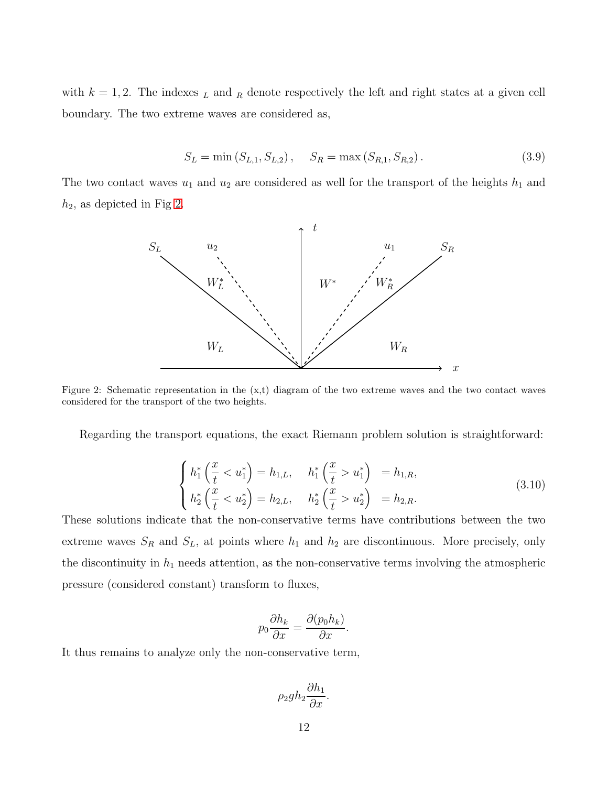with  $k = 1, 2$ . The indexes  $\mu$  and  $\mu$  denote respectively the left and right states at a given cell boundary. The two extreme waves are considered as,

$$
S_L = \min(S_{L,1}, S_{L,2}), \quad S_R = \max(S_{R,1}, S_{R,2}).
$$
\n(3.9)

<span id="page-11-0"></span>The two contact waves  $u_1$  and  $u_2$  are considered as well for the transport of the heights  $h_1$  and  $h_2$ , as depicted in Fig [2.](#page-11-0)



Figure 2: Schematic representation in the  $(x,t)$  diagram of the two extreme waves and the two contact waves considered for the transport of the two heights.

Regarding the transport equations, the exact Riemann problem solution is straightforward:

$$
\begin{cases}\nh_1^* \left(\frac{x}{t} < u_1^*\right) = h_{1,L}, & h_1^* \left(\frac{x}{t} > u_1^*\right) = h_{1,R}, \\
h_2^* \left(\frac{x}{t} < u_2^*\right) = h_{2,L}, & h_2^* \left(\frac{x}{t} > u_2^*\right) = h_{2,R}.\n\end{cases}\n\tag{3.10}
$$

These solutions indicate that the non-conservative terms have contributions between the two extreme waves  $S_R$  and  $S_L$ , at points where  $h_1$  and  $h_2$  are discontinuous. More precisely, only the discontinuity in  $h_1$  needs attention, as the non-conservative terms involving the atmospheric pressure (considered constant) transform to fluxes,

$$
p_0 \frac{\partial h_k}{\partial x} = \frac{\partial (p_0 h_k)}{\partial x}.
$$

It thus remains to analyze only the non-conservative term,

$$
\rho_2 gh_2 \frac{\partial h_1}{\partial x}.
$$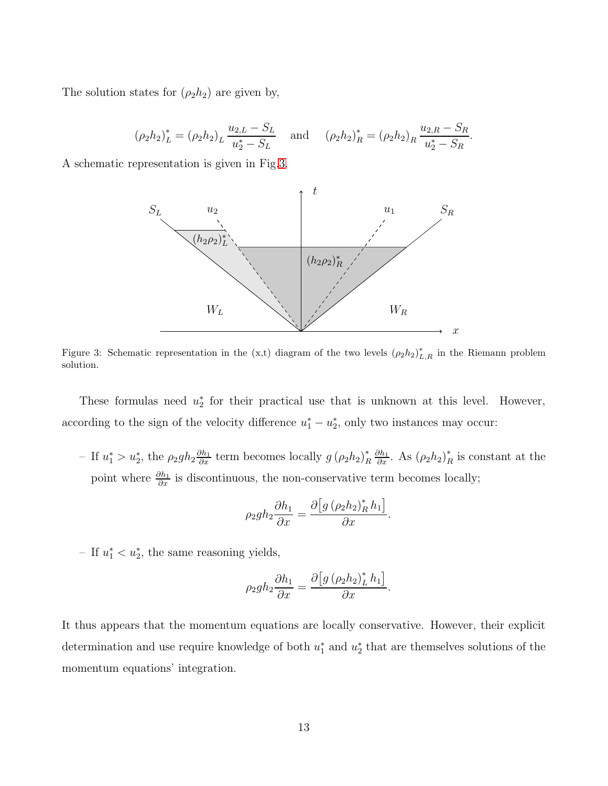The solution states for  $(\rho_2 h_2)$  are given by,

$$
(\rho_2 h_2)_L^* = (\rho_2 h_2)_L \frac{u_{2,L} - S_L}{u_2^* - S_L} \quad \text{and} \quad (\rho_2 h_2)_R^* = (\rho_2 h_2)_R \frac{u_{2,R} - S_R}{u_2^* - S_R}.
$$

<span id="page-12-0"></span>A schematic representation is given in Fig[.3.](#page-12-0)



Figure 3: Schematic representation in the (x,t) diagram of the two levels  $(\rho_2 h_2)_{L,R}^*$  in the Riemann problem solution.

These formulas need  $u_2^*$ 2 for their practical use that is unknown at this level. However, according to the sign of the velocity difference  $u_1^* - u_2^*$ 2 , only two instances may occur:

- If  $u_1^* > u_2^*$ , the  $\rho_2 gh_2 \frac{\partial h_1}{\partial x}$  term becomes locally  $g(\rho_2 h_2)_I^*$ R  $\frac{\partial h_1}{\partial x}$ . As  $(\rho_2 h_2)_I^*$  $_{R}^{*}$  is constant at the point where  $\frac{\partial h_1}{\partial x}$  is discontinuous, the non-conservative term becomes locally;

$$
\rho_2 gh_2 \frac{\partial h_1}{\partial x} = \frac{\partial \left[g \left(\rho_2 h_2\right)_R^* h_1\right]}{\partial x}.
$$

− If  $u_1^*$  <  $u_2^*$ , the same reasoning yields,

$$
\rho_2 gh_2 \frac{\partial h_1}{\partial x} = \frac{\partial \left[ g \left( \rho_2 h_2 \right)^*_L h_1 \right]}{\partial x}.
$$

It thus appears that the momentum equations are locally conservative. However, their explicit determination and use require knowledge of both  $u_1^*$  and  $u_2^*$ 2 that are themselves solutions of the momentum equations' integration.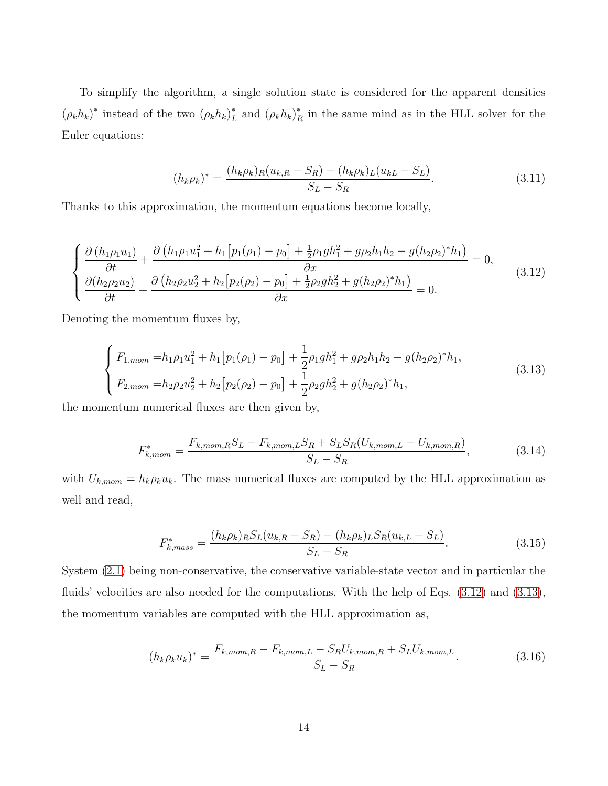<span id="page-13-2"></span>To simplify the algorithm, a single solution state is considered for the apparent densities  $(\rho_k h_k)^*$  instead of the two  $(\rho_k h_k)_I^*$  $_{L}^{*}$  and  $(\rho_{k}h_{k})_{P}^{*}$  $\frac{1}{R}$  in the same mind as in the HLL solver for the Euler equations:

$$
(h_k \rho_k)^* = \frac{(h_k \rho_k)_R (u_{k,R} - S_R) - (h_k \rho_k)_L (u_{k,L} - S_L)}{S_L - S_R}.
$$
\n(3.11)

<span id="page-13-0"></span>Thanks to this approximation, the momentum equations become locally,

$$
\begin{cases}\n\frac{\partial (h_1 \rho_1 u_1)}{\partial t} + \frac{\partial (h_1 \rho_1 u_1^2 + h_1 [p_1(\rho_1) - p_0] + \frac{1}{2} \rho_1 g h_1^2 + g \rho_2 h_1 h_2 - g (h_2 \rho_2)^* h_1)}{\partial x} = 0, \\
\frac{\partial (h_2 \rho_2 u_2)}{\partial t} + \frac{\partial (h_2 \rho_2 u_2^2 + h_2 [p_2(\rho_2) - p_0] + \frac{1}{2} \rho_2 g h_2^2 + g (h_2 \rho_2)^* h_1)}{\partial x} = 0.\n\end{cases} (3.12)
$$

<span id="page-13-1"></span>Denoting the momentum fluxes by,

$$
\begin{cases}\nF_{1,mom} = h_1 \rho_1 u_1^2 + h_1 \left[ p_1(\rho_1) - p_0 \right] + \frac{1}{2} \rho_1 g h_1^2 + g \rho_2 h_1 h_2 - g (h_2 \rho_2)^* h_1, \\
F_{2,mom} = h_2 \rho_2 u_2^2 + h_2 \left[ p_2(\rho_2) - p_0 \right] + \frac{1}{2} \rho_2 g h_2^2 + g (h_2 \rho_2)^* h_1,\n\end{cases} (3.13)
$$

the momentum numerical fluxes are then given by,

$$
F_{k,mom}^{*} = \frac{F_{k,mom, R} S_L - F_{k,mom, L} S_R + S_L S_R (U_{k,mom, L} - U_{k, nom, R})}{S_L - S_R},
$$
(3.14)

with  $U_{k,mom} = h_k \rho_k u_k$ . The mass numerical fluxes are computed by the HLL approximation as well and read,

$$
F_{k,mass}^{*} = \frac{(h_k \rho_k)_{R} S_L (u_{k,R} - S_R) - (h_k \rho_k)_{L} S_R (u_{k,L} - S_L)}{S_L - S_R}.
$$
\n(3.15)

<span id="page-13-3"></span>System [\(2.1\)](#page-3-1) being non-conservative, the conservative variable-state vector and in particular the fluids' velocities are also needed for the computations. With the help of Eqs.  $(3.12)$  and  $(3.13)$ , the momentum variables are computed with the HLL approximation as,

$$
(h_k \rho_k u_k)^* = \frac{F_{k,mom, R} - F_{k, mom, L} - S_R U_{k, mom, R} + S_L U_{k, mom, L}}{S_L - S_R}.
$$
\n(3.16)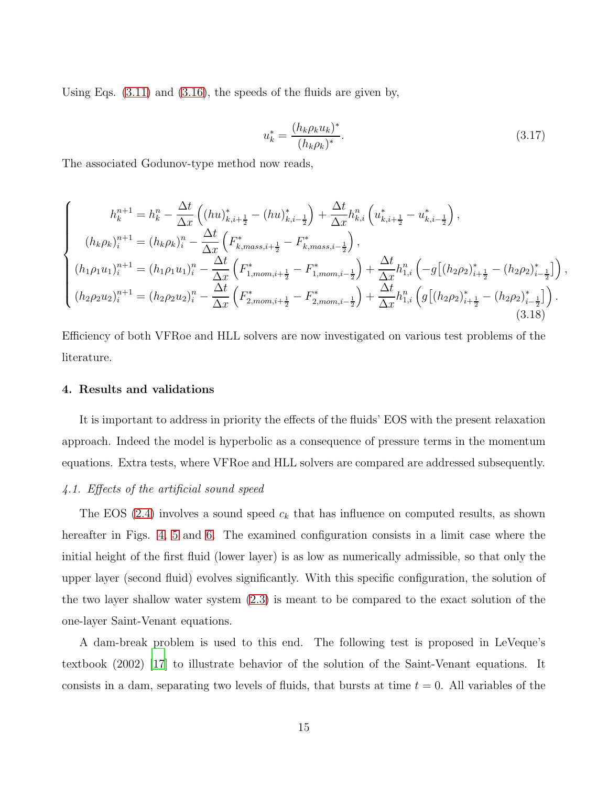Using Eqs. [\(3.11\)](#page-13-2) and [\(3.16\)](#page-13-3), the speeds of the fluids are given by,

$$
u_k^* = \frac{(h_k \rho_k u_k)^*}{(h_k \rho_k)^*}.
$$
\n(3.17)

<span id="page-14-1"></span>The associated Godunov-type method now reads,

$$
\begin{cases}\nh_k^{n+1} = h_k^n - \frac{\Delta t}{\Delta x} \left( (hu)_{k,i+\frac{1}{2}}^* - (hu)_{k,i-\frac{1}{2}}^* \right) + \frac{\Delta t}{\Delta x} h_{k,i}^n \left( u_{k,i+\frac{1}{2}}^* - u_{k,i-\frac{1}{2}}^* \right), \\
(h_k \rho_k)_i^{n+1} = (h_k \rho_k)_i^n - \frac{\Delta t}{\Delta x} \left( F_{k,mass,i+\frac{1}{2}}^* - F_{k,mass,i-\frac{1}{2}}^* \right), \\
(h_1 \rho_1 u_1)_i^{n+1} = (h_1 \rho_1 u_1)_i^n - \frac{\Delta t}{\Delta x} \left( F_{1,mom,i+\frac{1}{2}}^* - F_{1,mom,i-\frac{1}{2}}^* \right) + \frac{\Delta t}{\Delta x} h_{1,i}^n \left( -g \left[ (h_2 \rho_2)_{i+\frac{1}{2}}^* - (h_2 \rho_2)_{i-\frac{1}{2}}^* \right] \right), \\
(h_2 \rho_2 u_2)_i^{n+1} = (h_2 \rho_2 u_2)_i^n - \frac{\Delta t}{\Delta x} \left( F_{2,mom,i+\frac{1}{2}}^* - F_{2,mom,i-\frac{1}{2}}^* \right) + \frac{\Delta t}{\Delta x} h_{1,i}^n \left( g \left[ (h_2 \rho_2)_{i+\frac{1}{2}}^* - (h_2 \rho_2)_{i-\frac{1}{2}}^* \right] \right). \n\end{cases} \tag{3.18}
$$

Efficiency of both VFRoe and HLL solvers are now investigated on various test problems of the literature.

#### <span id="page-14-0"></span>4. Results and validations

It is important to address in priority the effects of the fluids' EOS with the present relaxation approach. Indeed the model is hyperbolic as a consequence of pressure terms in the momentum equations. Extra tests, where VFRoe and HLL solvers are compared are addressed subsequently.

# 4.1. Effects of the artificial sound speed

The EOS [\(2.4\)](#page-4-0) involves a sound speed  $c_k$  that has influence on computed results, as shown hereafter in Figs. [4,](#page-16-0) [5](#page-17-0) and [6.](#page-18-0) The examined configuration consists in a limit case where the initial height of the first fluid (lower layer) is as low as numerically admissible, so that only the upper layer (second fluid) evolves significantly. With this specific configuration, the solution of the two layer shallow water system [\(2.3\)](#page-3-2) is meant to be compared to the exact solution of the one-layer Saint-Venant equations.

A dam-break problem is used to this end. The following test is proposed in LeVeque's textbook (2002) [\[17\]](#page-36-6) to illustrate behavior of the solution of the Saint-Venant equations. It consists in a dam, separating two levels of fluids, that bursts at time  $t = 0$ . All variables of the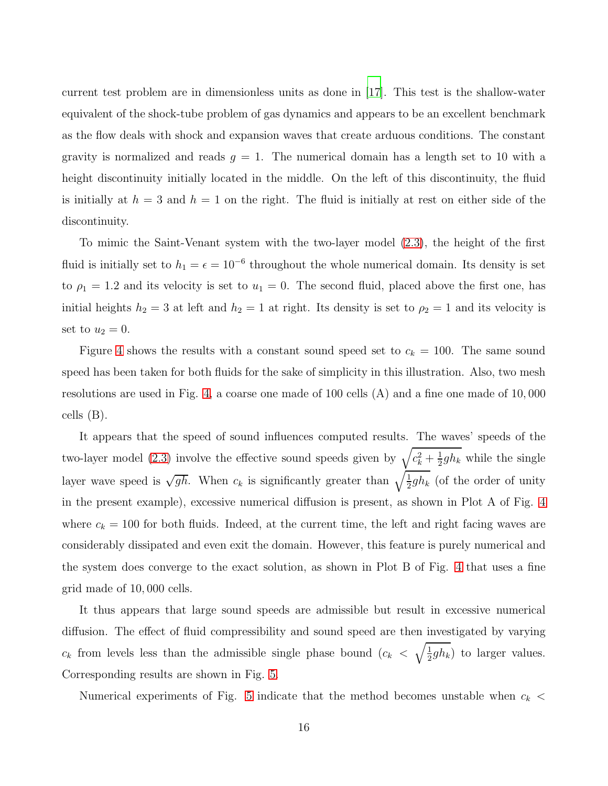current test problem are in dimensionless units as done in [\[17](#page-36-6)]. This test is the shallow-water equivalent of the shock-tube problem of gas dynamics and appears to be an excellent benchmark as the flow deals with shock and expansion waves that create arduous conditions. The constant gravity is normalized and reads  $g = 1$ . The numerical domain has a length set to 10 with a height discontinuity initially located in the middle. On the left of this discontinuity, the fluid is initially at  $h = 3$  and  $h = 1$  on the right. The fluid is initially at rest on either side of the discontinuity.

To mimic the Saint-Venant system with the two-layer model [\(2.3\)](#page-3-2), the height of the first fluid is initially set to  $h_1 = \epsilon = 10^{-6}$  throughout the whole numerical domain. Its density is set to  $\rho_1 = 1.2$  and its velocity is set to  $u_1 = 0$ . The second fluid, placed above the first one, has initial heights  $h_2 = 3$  at left and  $h_2 = 1$  at right. Its density is set to  $\rho_2 = 1$  and its velocity is set to  $u_2 = 0$ .

Figure [4](#page-16-0) shows the results with a constant sound speed set to  $c_k = 100$ . The same sound speed has been taken for both fluids for the sake of simplicity in this illustration. Also, two mesh resolutions are used in Fig. [4,](#page-16-0) a coarse one made of 100 cells (A) and a fine one made of 10, 000 cells (B).

It appears that the speed of sound influences computed results. The waves' speeds of the two-layer model [\(2.3\)](#page-3-2) involve the effective sound speeds given by  $\sqrt{c_k^2 + \frac{1}{2}}$  $\frac{1}{2}gh_k$  while the single layer wave speed is  $\sqrt{gh}$ . When  $c_k$  is significantly greater than  $\sqrt{\frac{1}{2}gh_k}$  (of the order of unity in the present example), excessive numerical diffusion is present, as shown in Plot A of Fig. [4](#page-16-0) where  $c_k = 100$  for both fluids. Indeed, at the current time, the left and right facing waves are considerably dissipated and even exit the domain. However, this feature is purely numerical and the system does converge to the exact solution, as shown in Plot B of Fig. [4](#page-16-0) that uses a fine grid made of 10, 000 cells.

It thus appears that large sound speeds are admissible but result in excessive numerical diffusion. The effect of fluid compressibility and sound speed are then investigated by varying  $c_k$  from levels less than the admissible single phase bound  $(c_k < \sqrt{\frac{1}{2}})$  $\frac{1}{2}gh_k$ ) to larger values. Corresponding results are shown in Fig. [5.](#page-17-0)

Numerical experiments of Fig. [5](#page-17-0) indicate that the method becomes unstable when  $c_k$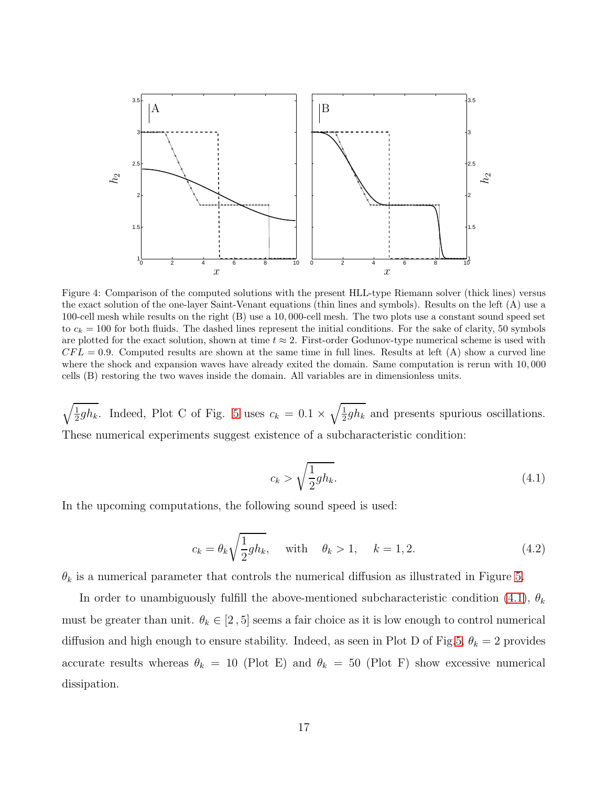<span id="page-16-0"></span>

Figure 4: Comparison of the computed solutions with the present HLL-type Riemann solver (thick lines) versus the exact solution of the one-layer Saint-Venant equations (thin lines and symbols). Results on the left (A) use a 100-cell mesh while results on the right (B) use a 10, 000-cell mesh. The two plots use a constant sound speed set to  $c_k = 100$  for both fluids. The dashed lines represent the initial conditions. For the sake of clarity, 50 symbols are plotted for the exact solution, shown at time  $t \approx 2$ . First-order Godunov-type numerical scheme is used with  $CFL = 0.9$ . Computed results are shown at the same time in full lines. Results at left (A) show a curved line where the shock and expansion waves have already exited the domain. Same computation is rerun with 10, 000 cells (B) restoring the two waves inside the domain. All variables are in dimensionless units.

<span id="page-16-1"></span> $\sqrt{\frac{1}{2}gh_k}$ . Indeed, Plot C of Fig. [5](#page-17-0) uses  $c_k = 0.1 \times \sqrt{\frac{1}{2}gh_k}$  and presents spurious oscillations. These numerical experiments suggest existence of a subcharacteristic condition:

$$
c_k > \sqrt{\frac{1}{2}gh_k}.\tag{4.1}
$$

<span id="page-16-2"></span>In the upcoming computations, the following sound speed is used:

$$
c_k = \theta_k \sqrt{\frac{1}{2}gh_k}, \quad \text{with} \quad \theta_k > 1, \quad k = 1, 2. \tag{4.2}
$$

 $\theta_k$  is a numerical parameter that controls the numerical diffusion as illustrated in Figure [5.](#page-17-0)

In order to unambiguously fulfill the above-mentioned subcharacteristic condition [\(4.1\)](#page-16-1),  $\theta_k$ must be greater than unit.  $\theta_k \in [2, 5]$  seems a fair choice as it is low enough to control numerical diffusion and high enough to ensure stability. Indeed, as seen in Plot D of Fig[.5,](#page-17-0)  $\theta_k = 2$  provides accurate results whereas  $\theta_k = 10$  (Plot E) and  $\theta_k = 50$  (Plot F) show excessive numerical dissipation.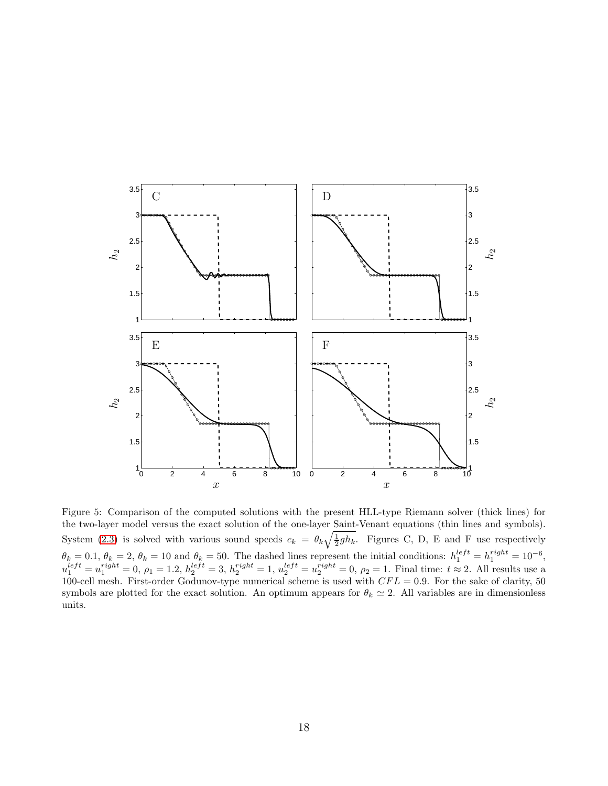<span id="page-17-0"></span>

Figure 5: Comparison of the computed solutions with the present HLL-type Riemann solver (thick lines) for the two-layer model versus the exact solution of the one-layer Saint-Venant equations (thin lines and symbols). System [\(2.3\)](#page-3-2) is solved with various sound speeds  $c_k = \theta_k \sqrt{\frac{1}{2}gh_k}$ . Figures C, D, E and F use respectively  $\theta_k = 0.1, \ \theta_k = 2, \ \theta_k = 10 \text{ and } \theta_k = 50.$  The dashed lines represent the initial conditions:  $h_1^{left} = h_1^{right} = 10^{-6}$ ,  $u_1^{left} = u_1^{right} = 0, \, \rho_1 = 1.2, \, h_2^{left} = 3, \, h_2^{right} = 1, \, u_2^{left} = u_2^{right} = 0, \, \rho_2 = 1.$  Final time:  $t \approx 2$ . All results use a 100-cell mesh. First-order Godunov-type numerical scheme is used with  $CFL = 0.9$ . For the sake of clarity, 50 symbols are plotted for the exact solution. An optimum appears for  $\theta_k \simeq 2$ . All variables are in dimensionless units.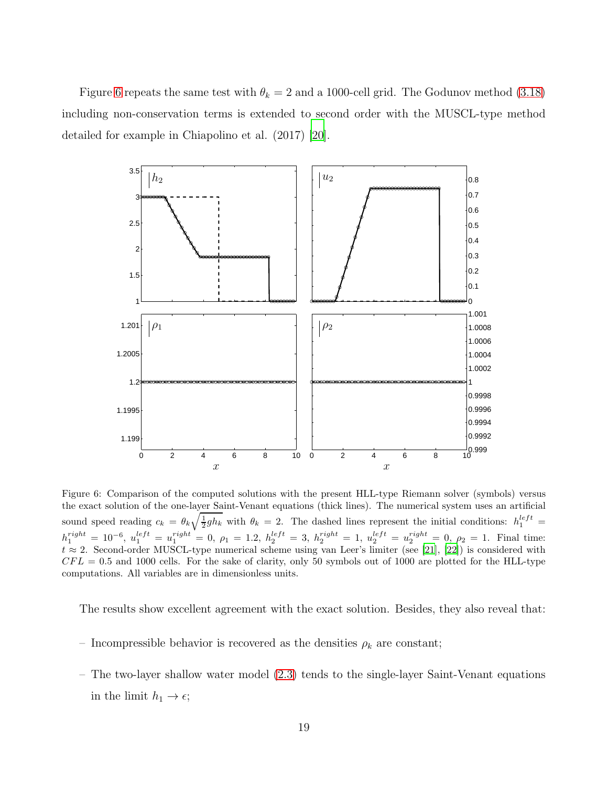Figure [6](#page-18-0) repeats the same test with  $\theta_k = 2$  and a 1000-cell grid. The Godunov method [\(3.18\)](#page-14-1) including non-conservation terms is extended to second order with the MUSCL-type method detailed for example in Chiapolino et al. (2017) [\[20](#page-36-9)].

<span id="page-18-0"></span>

Figure 6: Comparison of the computed solutions with the present HLL-type Riemann solver (symbols) versus the exact solution of the one-layer Saint-Venant equations (thick lines). The numerical system uses an artificial sound speed reading  $c_k = \theta_k \sqrt{\frac{1}{2}gh_k}$  with  $\theta_k = 2$ . The dashed lines represent the initial conditions:  $h_1^{left} =$  $h_1^{right} = 10^{-6}, u_1^{left} = u_1^{right} = 0, \ \rho_1 = 1.2, \ h_2^{left} = 3, \ h_2^{right} = 1, \ u_2^{left} = u_2^{right} = 0, \ \rho_2 = 1.$  Final time:  $t \approx 2$ . Second-order MUSCL-type numerical scheme using van Leer's limiter (see [\[21\]](#page-36-10), [\[22](#page-37-0)]) is considered with  $CFL = 0.5$  and 1000 cells. For the sake of clarity, only 50 symbols out of 1000 are plotted for the HLL-type computations. All variables are in dimensionless units.

The results show excellent agreement with the exact solution. Besides, they also reveal that:

- Incompressible behavior is recovered as the densities  $\rho_k$  are constant;
- The two-layer shallow water model [\(2.3\)](#page-3-2) tends to the single-layer Saint-Venant equations in the limit  $h_1 \rightarrow \epsilon$ ;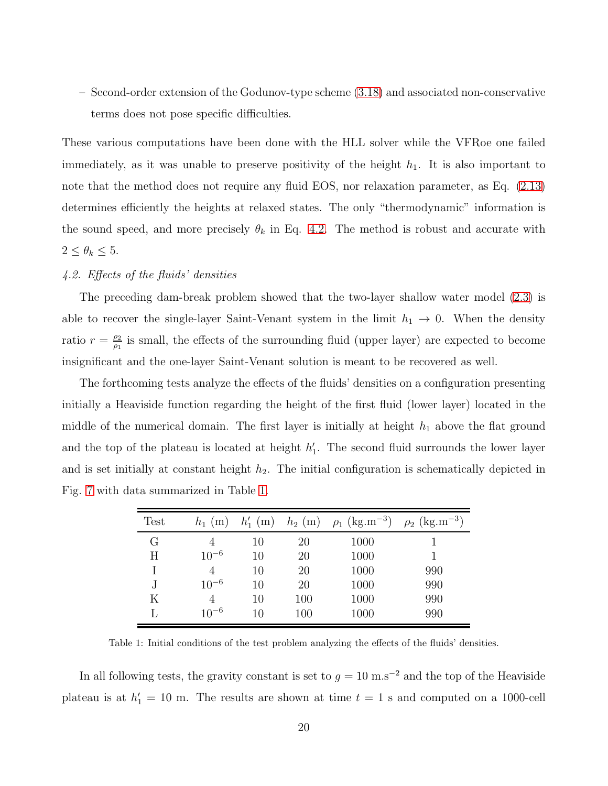– Second-order extension of the Godunov-type scheme [\(3.18\)](#page-14-1) and associated non-conservative terms does not pose specific difficulties.

These various computations have been done with the HLL solver while the VFRoe one failed immediately, as it was unable to preserve positivity of the height  $h_1$ . It is also important to note that the method does not require any fluid EOS, nor relaxation parameter, as Eq. [\(2.13\)](#page-8-0) determines efficiently the heights at relaxed states. The only "thermodynamic" information is the sound speed, and more precisely  $\theta_k$  in Eq. [4.2.](#page-16-2) The method is robust and accurate with  $2 \leq \theta_k \leq 5$ .

## 4.2. Effects of the fluids' densities

The preceding dam-break problem showed that the two-layer shallow water model [\(2.3\)](#page-3-2) is able to recover the single-layer Saint-Venant system in the limit  $h_1 \rightarrow 0$ . When the density ratio  $r = \frac{\rho_2}{\rho_1}$  $\frac{\rho_2}{\rho_1}$  is small, the effects of the surrounding fluid (upper layer) are expected to become insignificant and the one-layer Saint-Venant solution is meant to be recovered as well.

The forthcoming tests analyze the effects of the fluids' densities on a configuration presenting initially a Heaviside function regarding the height of the first fluid (lower layer) located in the middle of the numerical domain. The first layer is initially at height  $h_1$  above the flat ground and the top of the plateau is located at height  $h'_1$ 1 . The second fluid surrounds the lower layer and is set initially at constant height  $h_2$ . The initial configuration is schematically depicted in Fig. [7](#page-20-0) with data summarized in Table [1.](#page-19-0)

<span id="page-19-0"></span>

| <b>Test</b> | $h_1$ (m)      | $h'_{1}$ (m) |     | $h_2$ (m) $\rho_1$ (kg.m <sup>-3</sup> ) | $\rho_2$ (kg.m <sup>-3</sup> ) |
|-------------|----------------|--------------|-----|------------------------------------------|--------------------------------|
| G           |                | 10           | 20  | 1000                                     |                                |
| H           | $10^{-6}$      | 10           | 20  | 1000                                     |                                |
| Ι           | $\overline{4}$ | 10           | 20  | 1000                                     | 990                            |
| J           | $10^{-6}$      | 10           | 20  | 1000                                     | 990                            |
| Κ           |                | 10           | 100 | 1000                                     | 990                            |
|             | $10^{-6}$      | 10           | 100 | 1000                                     | 990                            |

Table 1: Initial conditions of the test problem analyzing the effects of the fluids' densities.

In all following tests, the gravity constant is set to  $g = 10 \text{ m.s}^{-2}$  and the top of the Heaviside plateau is at  $h'_1 = 10$  m. The results are shown at time  $t = 1$  s and computed on a 1000-cell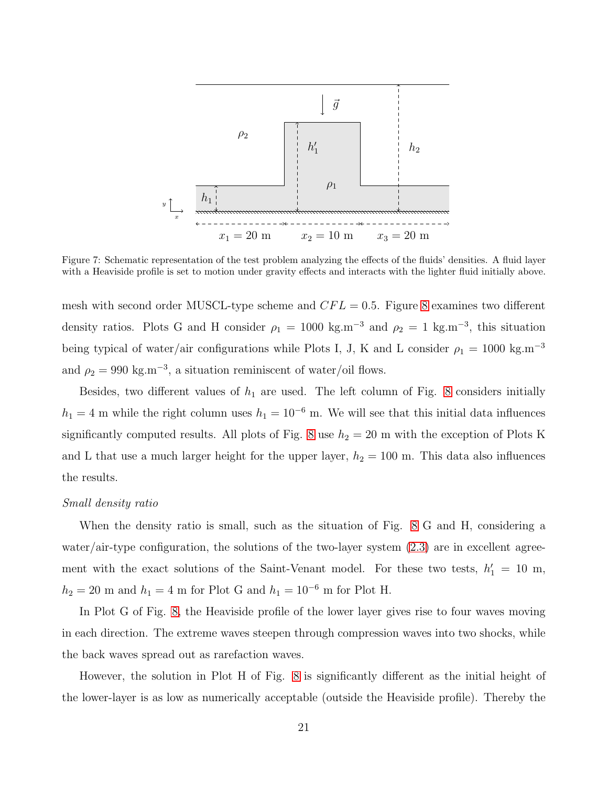<span id="page-20-0"></span>

Figure 7: Schematic representation of the test problem analyzing the effects of the fluids' densities. A fluid layer with a Heaviside profile is set to motion under gravity effects and interacts with the lighter fluid initially above.

mesh with second order MUSCL-type scheme and  $CFL = 0.5$ . Figure [8](#page-21-0) examines two different density ratios. Plots G and H consider  $\rho_1 = 1000 \text{ kg.m}^{-3}$  and  $\rho_2 = 1 \text{ kg.m}^{-3}$ , this situation being typical of water/air configurations while Plots I, J, K and L consider  $\rho_1 = 1000 \text{ kg.m}^{-3}$ and  $\rho_2 = 990 \text{ kg.m}^{-3}$ , a situation reminiscent of water/oil flows.

Besides, two different values of  $h_1$  are used. The left column of Fig. [8](#page-21-0) considers initially  $h_1 = 4$  m while the right column uses  $h_1 = 10^{-6}$  m. We will see that this initial data influences significantly computed results. All plots of Fig. [8](#page-21-0) use  $h_2 = 20$  m with the exception of Plots K and L that use a much larger height for the upper layer,  $h_2 = 100$  m. This data also influences the results.

#### Small density ratio

When the density ratio is small, such as the situation of Fig. [8](#page-21-0) G and H, considering a water/air-type configuration, the solutions of the two-layer system  $(2.3)$  are in excellent agreement with the exact solutions of the Saint-Venant model. For these two tests,  $h'_1 = 10$  m,  $h_2 = 20$  m and  $h_1 = 4$  m for Plot G and  $h_1 = 10^{-6}$  m for Plot H.

In Plot G of Fig. [8,](#page-21-0) the Heaviside profile of the lower layer gives rise to four waves moving in each direction. The extreme waves steepen through compression waves into two shocks, while the back waves spread out as rarefaction waves.

However, the solution in Plot H of Fig. [8](#page-21-0) is significantly different as the initial height of the lower-layer is as low as numerically acceptable (outside the Heaviside profile). Thereby the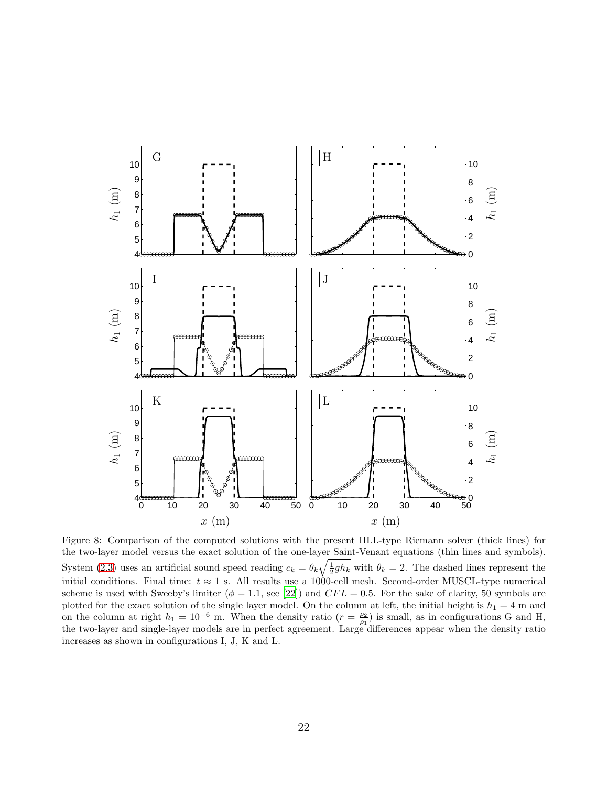<span id="page-21-0"></span>

Figure 8: Comparison of the computed solutions with the present HLL-type Riemann solver (thick lines) for the two-layer model versus the exact solution of the one-layer Saint-Venant equations (thin lines and symbols). System [\(2.3\)](#page-3-2) uses an artificial sound speed reading  $c_k = \theta_k \sqrt{\frac{1}{2}gh_k}$  with  $\theta_k = 2$ . The dashed lines represent the initial conditions. Final time:  $t \approx 1$  s. All results use a 1000-cell mesh. Second-order MUSCL-type numerical scheme is used with Sweeby's limiter ( $\phi = 1.1$ , see [\[22\]](#page-37-0)) and CFL = 0.5. For the sake of clarity, 50 symbols are plotted for the exact solution of the single layer model. On the column at left, the initial height is  $h_1 = 4$  m and on the column at right  $h_1 = 10^{-6}$  m. When the density ratio  $(r = \frac{\rho_2}{\rho_1})$  is small, as in configurations G and H, the two-layer and single-layer models are in perfect agreement. Large differences appear when the density ratio increases as shown in configurations I, J, K and L.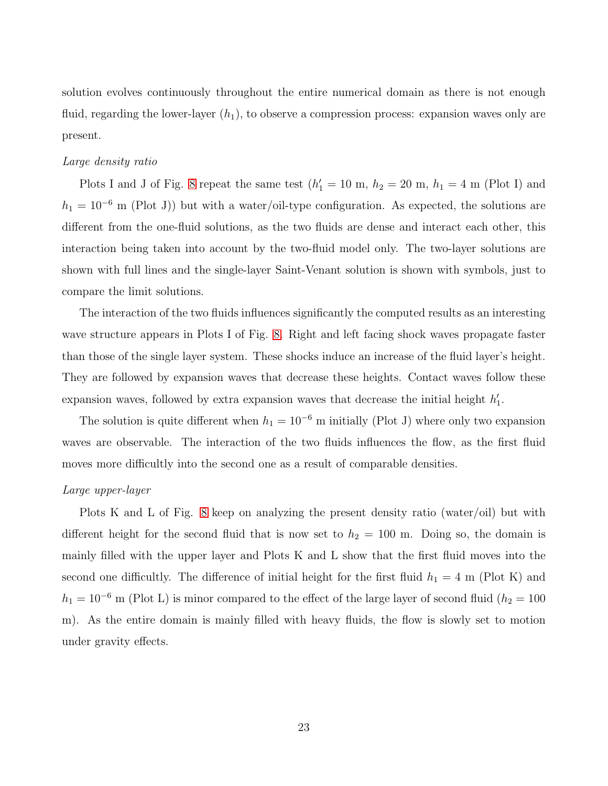solution evolves continuously throughout the entire numerical domain as there is not enough fluid, regarding the lower-layer  $(h_1)$ , to observe a compression process: expansion waves only are present.

## Large density ratio

Plots I and J of Fig. [8](#page-21-0) repeat the same test  $(h'_1 = 10 \text{ m}, h_2 = 20 \text{ m}, h_1 = 4 \text{ m}$  (Plot I) and  $h_1 = 10^{-6}$  m (Plot J)) but with a water/oil-type configuration. As expected, the solutions are different from the one-fluid solutions, as the two fluids are dense and interact each other, this interaction being taken into account by the two-fluid model only. The two-layer solutions are shown with full lines and the single-layer Saint-Venant solution is shown with symbols, just to compare the limit solutions.

The interaction of the two fluids influences significantly the computed results as an interesting wave structure appears in Plots I of Fig. [8.](#page-21-0) Right and left facing shock waves propagate faster than those of the single layer system. These shocks induce an increase of the fluid layer's height. They are followed by expansion waves that decrease these heights. Contact waves follow these expansion waves, followed by extra expansion waves that decrease the initial height  $h'_1$  $\frac{1}{1}$ .

The solution is quite different when  $h_1 = 10^{-6}$  m initially (Plot J) where only two expansion waves are observable. The interaction of the two fluids influences the flow, as the first fluid moves more difficultly into the second one as a result of comparable densities.

#### Large upper-layer

Plots K and L of Fig. [8](#page-21-0) keep on analyzing the present density ratio (water/oil) but with different height for the second fluid that is now set to  $h_2 = 100$  m. Doing so, the domain is mainly filled with the upper layer and Plots K and L show that the first fluid moves into the second one difficultly. The difference of initial height for the first fluid  $h_1 = 4$  m (Plot K) and  $h_1 = 10^{-6}$  m (Plot L) is minor compared to the effect of the large layer of second fluid ( $h_2 = 100$ m). As the entire domain is mainly filled with heavy fluids, the flow is slowly set to motion under gravity effects.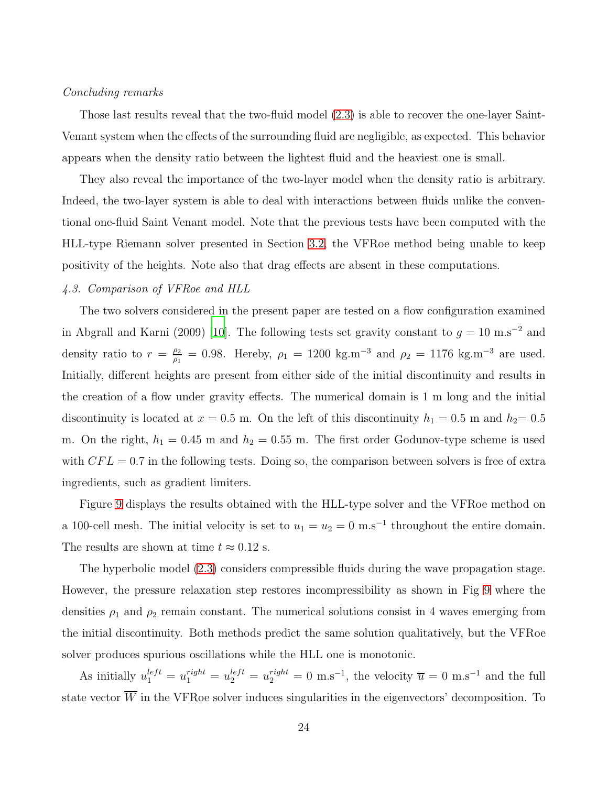## Concluding remarks

Those last results reveal that the two-fluid model [\(2.3\)](#page-3-2) is able to recover the one-layer Saint-Venant system when the effects of the surrounding fluid are negligible, as expected. This behavior appears when the density ratio between the lightest fluid and the heaviest one is small.

They also reveal the importance of the two-layer model when the density ratio is arbitrary. Indeed, the two-layer system is able to deal with interactions between fluids unlike the conventional one-fluid Saint Venant model. Note that the previous tests have been computed with the HLL-type Riemann solver presented in Section [3.2,](#page-10-0) the VFRoe method being unable to keep positivity of the heights. Note also that drag effects are absent in these computations.

## 4.3. Comparison of VFRoe and HLL

The two solvers considered in the present paper are tested on a flow configuration examined in Abgrall and Karni (2009) [\[10](#page-35-9)]. The following tests set gravity constant to  $g = 10 \text{ m.s}^{-2}$  and density ratio to  $r = \frac{\rho_2}{\rho_1}$  $\frac{\rho_2}{\rho_1}$  = 0.98. Hereby,  $\rho_1$  = 1200 kg.m<sup>-3</sup> and  $\rho_2$  = 1176 kg.m<sup>-3</sup> are used. Initially, different heights are present from either side of the initial discontinuity and results in the creation of a flow under gravity effects. The numerical domain is 1 m long and the initial discontinuity is located at  $x = 0.5$  m. On the left of this discontinuity  $h_1 = 0.5$  m and  $h_2 = 0.5$ m. On the right,  $h_1 = 0.45$  m and  $h_2 = 0.55$  m. The first order Godunov-type scheme is used with  $CFL = 0.7$  in the following tests. Doing so, the comparison between solvers is free of extra ingredients, such as gradient limiters.

Figure [9](#page-24-0) displays the results obtained with the HLL-type solver and the VFRoe method on a 100-cell mesh. The initial velocity is set to  $u_1 = u_2 = 0$  m.s<sup>-1</sup> throughout the entire domain. The results are shown at time  $t \approx 0.12$  s.

The hyperbolic model [\(2.3\)](#page-3-2) considers compressible fluids during the wave propagation stage. However, the pressure relaxation step restores incompressibility as shown in Fig [9](#page-24-0) where the densities  $\rho_1$  and  $\rho_2$  remain constant. The numerical solutions consist in 4 waves emerging from the initial discontinuity. Both methods predict the same solution qualitatively, but the VFRoe solver produces spurious oscillations while the HLL one is monotonic.

As initially  $u_1^{left} = u_1^{right} = u_2^{left} = u_2^{right} = 0$  m.s<sup>-1</sup>, the velocity  $\overline{u} = 0$  m.s<sup>-1</sup> and the full state vector  $\overline{W}$  in the VFRoe solver induces singularities in the eigenvectors' decomposition. To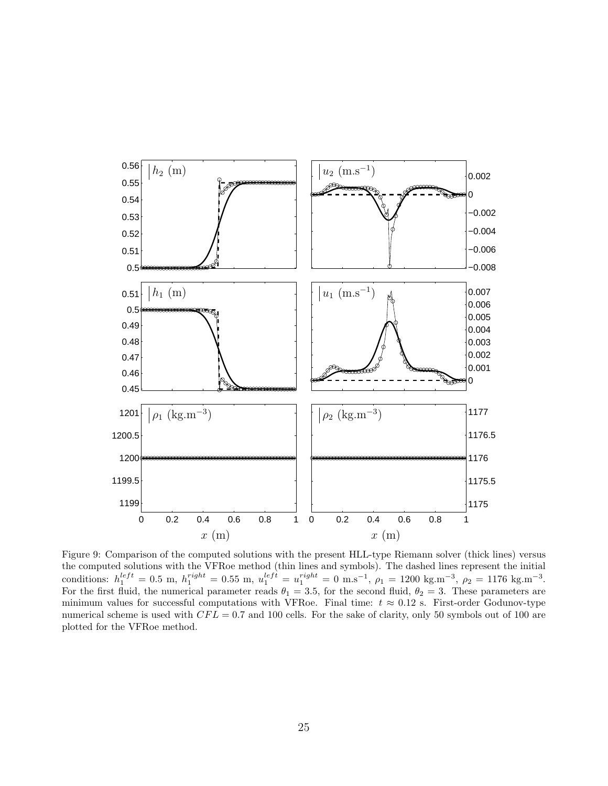<span id="page-24-0"></span>

Figure 9: Comparison of the computed solutions with the present HLL-type Riemann solver (thick lines) versus the computed solutions with the VFRoe method (thin lines and symbols). The dashed lines represent the initial conditions:  $h_1^{left} = 0.5 \text{ m}, h_1^{right} = 0.55 \text{ m}, u_1^{left} = u_1^{right} = 0 \text{ m.s}^{-1}, \rho_1 = 1200 \text{ kg.m}^{-3}, \rho_2 = 1176 \text{ kg.m}^{-3}.$ For the first fluid, the numerical parameter reads  $\theta_1 = 3.5$ , for the second fluid,  $\theta_2 = 3$ . These parameters are minimum values for successful computations with VFRoe. Final time:  $t \approx 0.12$  s. First-order Godunov-type numerical scheme is used with  $CFL = 0.7$  and 100 cells. For the sake of clarity, only 50 symbols out of 100 are plotted for the VFRoe method.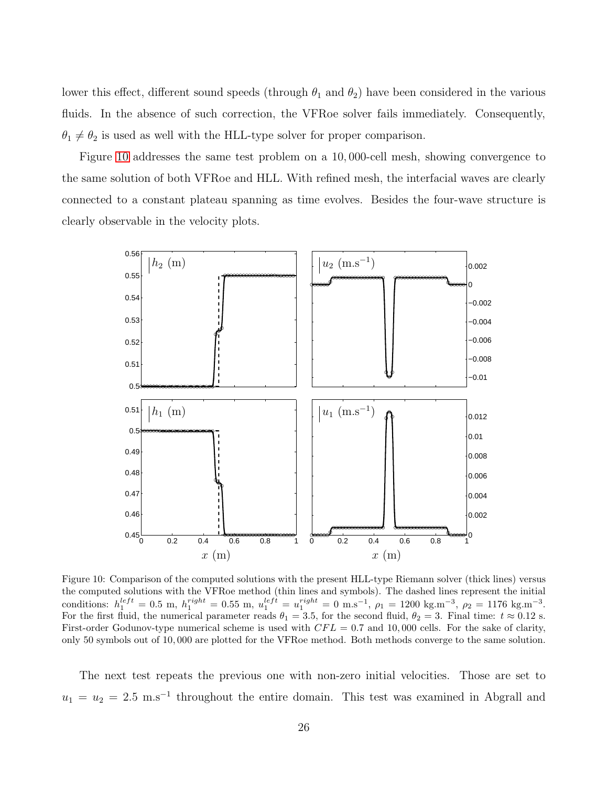lower this effect, different sound speeds (through  $\theta_1$  and  $\theta_2$ ) have been considered in the various fluids. In the absence of such correction, the VFRoe solver fails immediately. Consequently,  $\theta_1 \neq \theta_2$  is used as well with the HLL-type solver for proper comparison.

Figure [10](#page-25-0) addresses the same test problem on a 10, 000-cell mesh, showing convergence to the same solution of both VFRoe and HLL. With refined mesh, the interfacial waves are clearly connected to a constant plateau spanning as time evolves. Besides the four-wave structure is clearly observable in the velocity plots.

<span id="page-25-0"></span>

Figure 10: Comparison of the computed solutions with the present HLL-type Riemann solver (thick lines) versus the computed solutions with the VFRoe method (thin lines and symbols). The dashed lines represent the initial conditions:  $h_1^{left} = 0.5 \text{ m}, h_1^{right} = 0.55 \text{ m}, u_1^{left} = u_1^{right} = 0 \text{ m.s}^{-1}, \rho_1 = 1200 \text{ kg.m}^{-3}, \rho_2 = 1176 \text{ kg.m}^{-3}.$ For the first fluid, the numerical parameter reads  $\theta_1 = 3.5$ , for the second fluid,  $\theta_2 = 3$ . Final time:  $t \approx 0.12$  s. First-order Godunov-type numerical scheme is used with  $CFL = 0.7$  and 10,000 cells. For the sake of clarity, only 50 symbols out of 10, 000 are plotted for the VFRoe method. Both methods converge to the same solution.

The next test repeats the previous one with non-zero initial velocities. Those are set to  $u_1 = u_2 = 2.5$  m.s<sup>-1</sup> throughout the entire domain. This test was examined in Abgrall and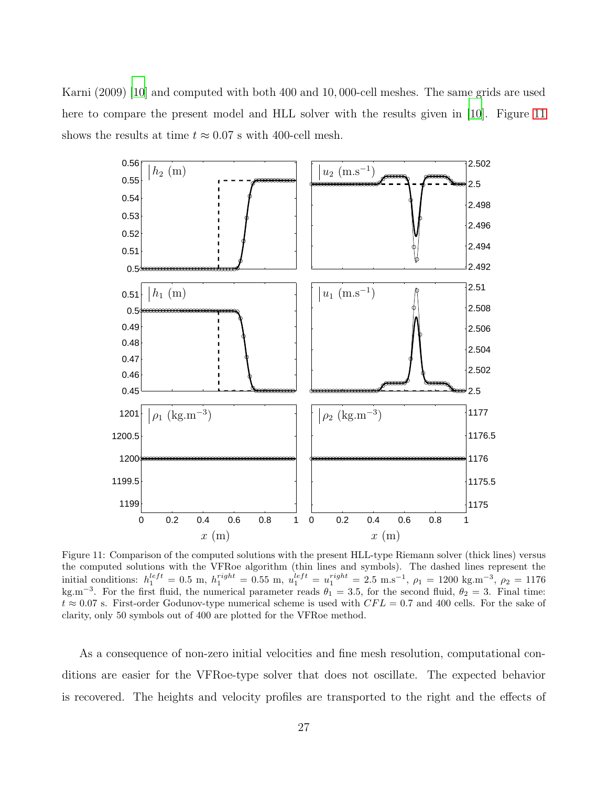<span id="page-26-0"></span>Karni (2009) [\[10\]](#page-35-9) and computed with both 400 and 10, 000-cell meshes. The same grids are used here to compare the present model and HLL solver with the results given in [\[10](#page-35-9)]. Figure [11](#page-26-0) shows the results at time  $t \approx 0.07$  s with 400-cell mesh.



Figure 11: Comparison of the computed solutions with the present HLL-type Riemann solver (thick lines) versus the computed solutions with the VFRoe algorithm (thin lines and symbols). The dashed lines represent the initial conditions:  $h_1^{left} = 0.5$  m,  $h_1^{right} = 0.55$  m,  $u_1^{left} = u_1^{right} = 2.5$  m.s<sup>-1</sup>,  $\rho_1 = 1200$  kg.m<sup>-3</sup>,  $\rho_2 = 1176$ kg.m<sup>-3</sup>. For the first fluid, the numerical parameter reads  $\theta_1 = 3.5$ , for the second fluid,  $\theta_2 = 3$ . Final time:  $t \approx 0.07$  s. First-order Godunov-type numerical scheme is used with  $CFL = 0.7$  and 400 cells. For the sake of clarity, only 50 symbols out of 400 are plotted for the VFRoe method.

As a consequence of non-zero initial velocities and fine mesh resolution, computational conditions are easier for the VFRoe-type solver that does not oscillate. The expected behavior is recovered. The heights and velocity profiles are transported to the right and the effects of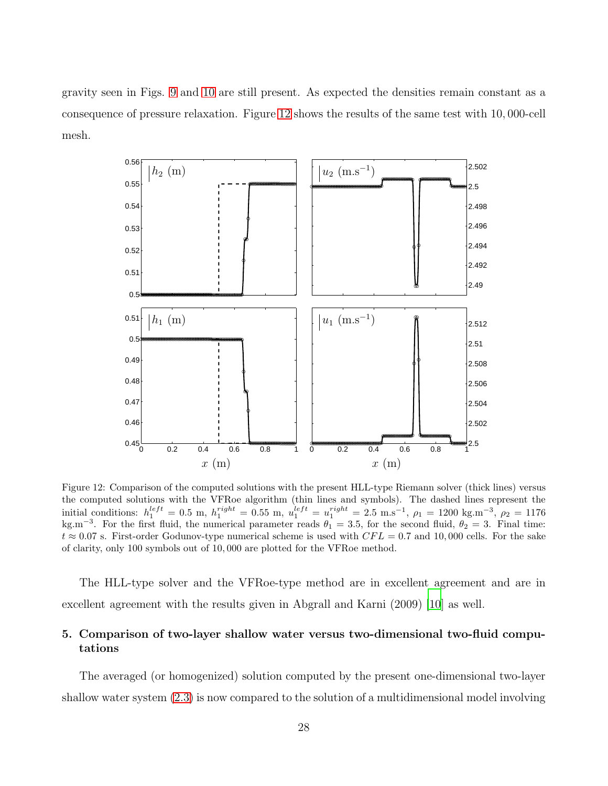<span id="page-27-1"></span>gravity seen in Figs. [9](#page-24-0) and [10](#page-25-0) are still present. As expected the densities remain constant as a consequence of pressure relaxation. Figure [12](#page-27-1) shows the results of the same test with 10, 000-cell mesh.



Figure 12: Comparison of the computed solutions with the present HLL-type Riemann solver (thick lines) versus the computed solutions with the VFRoe algorithm (thin lines and symbols). The dashed lines represent the initial conditions:  $h_1^{left} = 0.5$  m,  $h_1^{right} = 0.55$  m,  $u_1^{left} = u_1^{right} = 2.5$  m.s<sup>-1</sup>,  $\rho_1 = 1200$  kg.m<sup>-3</sup>,  $\rho_2 = 1176$ kg.m<sup>-3</sup>. For the first fluid, the numerical parameter reads  $\theta_1 = 3.5$ , for the second fluid,  $\theta_2 = 3$ . Final time:  $t \approx 0.07$  s. First-order Godunov-type numerical scheme is used with  $CFL = 0.7$  and 10,000 cells. For the sake of clarity, only 100 symbols out of 10, 000 are plotted for the VFRoe method.

The HLL-type solver and the VFRoe-type method are in excellent agreement and are in excellent agreement with the results given in Abgrall and Karni (2009) [\[10](#page-35-9)] as well.

# <span id="page-27-0"></span>5. Comparison of two-layer shallow water versus two-dimensional two-fluid computations

The averaged (or homogenized) solution computed by the present one-dimensional two-layer shallow water system [\(2.3\)](#page-3-2) is now compared to the solution of a multidimensional model involving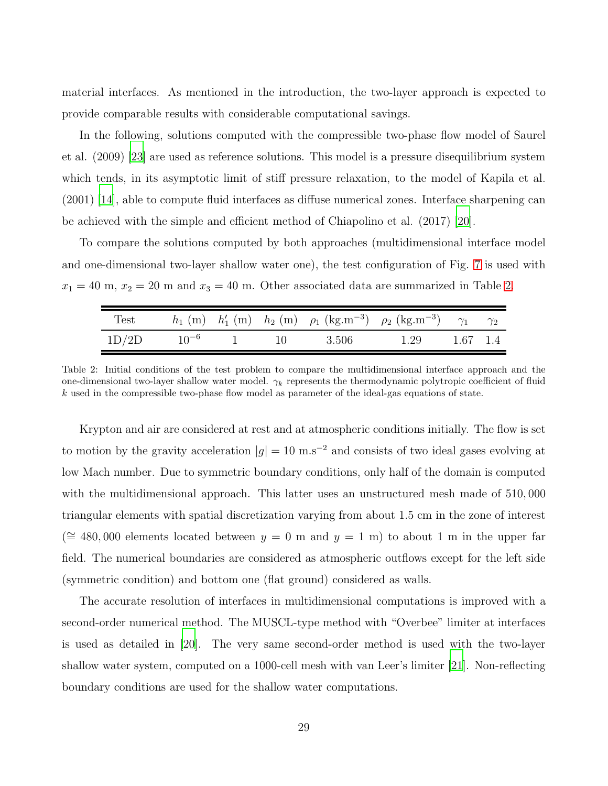material interfaces. As mentioned in the introduction, the two-layer approach is expected to provide comparable results with considerable computational savings.

In the following, solutions computed with the compressible two-phase flow model of Saurel et al. (2009) [\[23\]](#page-37-1) are used as reference solutions. This model is a pressure disequilibrium system which tends, in its asymptotic limit of stiff pressure relaxation, to the model of Kapila et al. (2001) [\[14](#page-36-3)], able to compute fluid interfaces as diffuse numerical zones. Interface sharpening can be achieved with the simple and efficient method of Chiapolino et al. (2017) [\[20\]](#page-36-9).

To compare the solutions computed by both approaches (multidimensional interface model and one-dimensional two-layer shallow water one), the test configuration of Fig. [7](#page-20-0) is used with  $x_1 = 40$  m,  $x_2 = 20$  m and  $x_3 = 40$  m. Other associated data are summarized in Table [2.](#page-28-0)

<span id="page-28-0"></span>

| Test  |           |           |       | $h_1$ (m) $h'_1$ (m) $h_2$ (m) $\rho_1$ (kg.m <sup>-3</sup> ) $\rho_2$ (kg.m <sup>-3</sup> ) $\gamma_1$ $\gamma_2$ |  |
|-------|-----------|-----------|-------|--------------------------------------------------------------------------------------------------------------------|--|
| 1D/2D | $10^{-6}$ | $\sim$ 10 | 3.506 | $1.29$ $1.67$ $1.4$                                                                                                |  |

Table 2: Initial conditions of the test problem to compare the multidimensional interface approach and the one-dimensional two-layer shallow water model.  $\gamma_k$  represents the thermodynamic polytropic coefficient of fluid  $k$  used in the compressible two-phase flow model as parameter of the ideal-gas equations of state.

Krypton and air are considered at rest and at atmospheric conditions initially. The flow is set to motion by the gravity acceleration  $|g| = 10 \text{ m.s}^{-2}$  and consists of two ideal gases evolving at low Mach number. Due to symmetric boundary conditions, only half of the domain is computed with the multidimensional approach. This latter uses an unstructured mesh made of 510, 000 triangular elements with spatial discretization varying from about 1.5 cm in the zone of interest ( $\cong$  480,000 elements located between  $y = 0$  m and  $y = 1$  m) to about 1 m in the upper far field. The numerical boundaries are considered as atmospheric outflows except for the left side (symmetric condition) and bottom one (flat ground) considered as walls.

The accurate resolution of interfaces in multidimensional computations is improved with a second-order numerical method. The MUSCL-type method with "Overbee" limiter at interfaces is used as detailed in [\[20](#page-36-9)]. The very same second-order method is used with the two-layer shallow water system, computed on a 1000-cell mesh with van Leer's limiter [\[21](#page-36-10)]. Non-reflecting boundary conditions are used for the shallow water computations.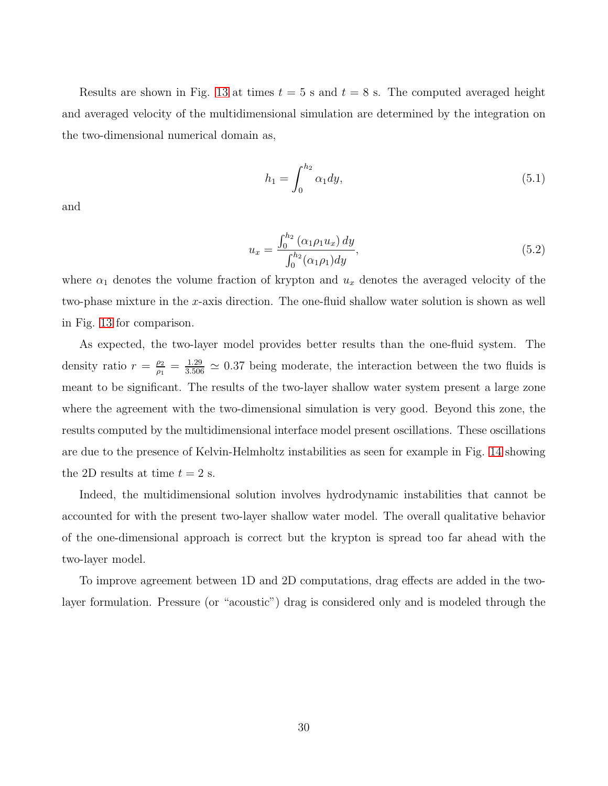<span id="page-29-0"></span>Results are shown in Fig. [13](#page-30-0) at times  $t = 5$  s and  $t = 8$  s. The computed averaged height and averaged velocity of the multidimensional simulation are determined by the integration on the two-dimensional numerical domain as,

$$
h_1 = \int_0^{h_2} \alpha_1 dy,\tag{5.1}
$$

<span id="page-29-1"></span>and

$$
u_x = \frac{\int_0^{h_2} (\alpha_1 \rho_1 u_x) \, dy}{\int_0^{h_2} (\alpha_1 \rho_1) dy},\tag{5.2}
$$

where  $\alpha_1$  denotes the volume fraction of krypton and  $u_x$  denotes the averaged velocity of the two-phase mixture in the x-axis direction. The one-fluid shallow water solution is shown as well in Fig. [13](#page-30-0) for comparison.

As expected, the two-layer model provides better results than the one-fluid system. The density ratio  $r = \frac{\rho_2}{\rho_1}$  $\frac{\rho_2}{\rho_1} = \frac{1.29}{3.506} \approx 0.37$  being moderate, the interaction between the two fluids is meant to be significant. The results of the two-layer shallow water system present a large zone where the agreement with the two-dimensional simulation is very good. Beyond this zone, the results computed by the multidimensional interface model present oscillations. These oscillations are due to the presence of Kelvin-Helmholtz instabilities as seen for example in Fig. [14](#page-30-1) showing the 2D results at time  $t = 2$  s.

Indeed, the multidimensional solution involves hydrodynamic instabilities that cannot be accounted for with the present two-layer shallow water model. The overall qualitative behavior of the one-dimensional approach is correct but the krypton is spread too far ahead with the two-layer model.

To improve agreement between 1D and 2D computations, drag effects are added in the twolayer formulation. Pressure (or "acoustic") drag is considered only and is modeled through the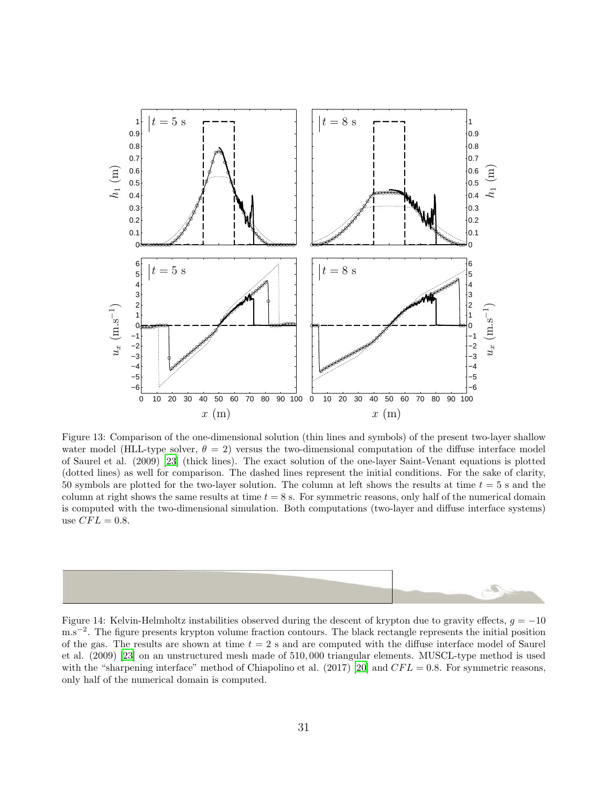<span id="page-30-0"></span>

Figure 13: Comparison of the one-dimensional solution (thin lines and symbols) of the present two-layer shallow water model (HLL-type solver,  $\theta = 2$ ) versus the two-dimensional computation of the diffuse interface model of Saurel et al. (2009) [\[23\]](#page-37-1) (thick lines). The exact solution of the one-layer Saint-Venant equations is plotted (dotted lines) as well for comparison. The dashed lines represent the initial conditions. For the sake of clarity, 50 symbols are plotted for the two-layer solution. The column at left shows the results at time  $t = 5$  s and the column at right shows the same results at time  $t = 8$  s. For symmetric reasons, only half of the numerical domain is computed with the two-dimensional simulation. Both computations (two-layer and diffuse interface systems) use  $CFL = 0.8$ .

<span id="page-30-1"></span>

Figure 14: Kelvin-Helmholtz instabilities observed during the descent of krypton due to gravity effects,  $q = -10$ m.s<sup>-2</sup>. The figure presents krypton volume fraction contours. The black rectangle represents the initial position of the gas. The results are shown at time  $t = 2$  s and are computed with the diffuse interface model of Saurel et al. (2009) [\[23\]](#page-37-1) on an unstructured mesh made of 510, 000 triangular elements. MUSCL-type method is used with the "sharpening interface" method of Chiapolino et al. (2017) [\[20\]](#page-36-9) and  $CFL = 0.8$ . For symmetric reasons, only half of the numerical domain is computed.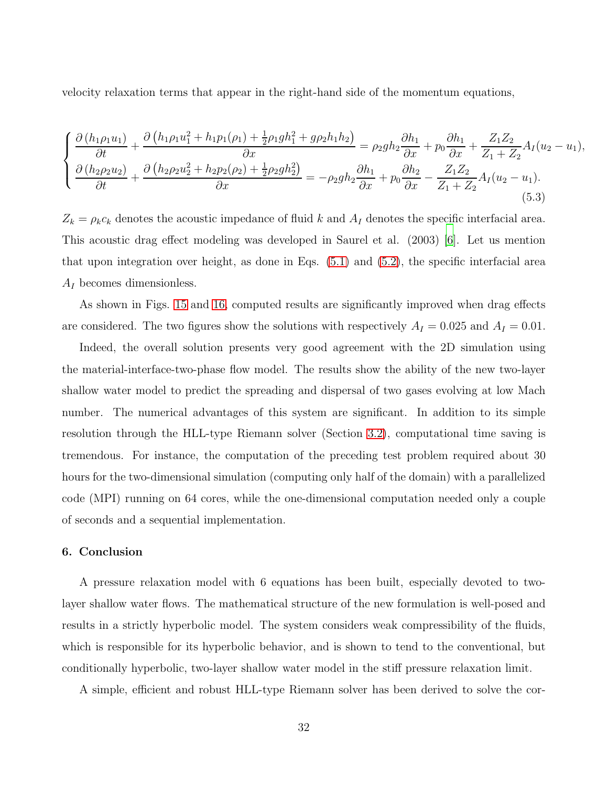velocity relaxation terms that appear in the right-hand side of the momentum equations,

$$
\begin{cases}\n\frac{\partial (h_1 \rho_1 u_1)}{\partial t} + \frac{\partial (h_1 \rho_1 u_1^2 + h_1 p_1(\rho_1) + \frac{1}{2} \rho_1 g h_1^2 + g \rho_2 h_1 h_2)}{\partial x} = \rho_2 g h_2 \frac{\partial h_1}{\partial x} + p_0 \frac{\partial h_1}{\partial x} + \frac{Z_1 Z_2}{Z_1 + Z_2} A_I (u_2 - u_1), \\
\frac{\partial (h_2 \rho_2 u_2)}{\partial t} + \frac{\partial (h_2 \rho_2 u_2^2 + h_2 p_2(\rho_2) + \frac{1}{2} \rho_2 g h_2^2)}{\partial x} = -\rho_2 g h_2 \frac{\partial h_1}{\partial x} + p_0 \frac{\partial h_2}{\partial x} - \frac{Z_1 Z_2}{Z_1 + Z_2} A_I (u_2 - u_1).\n\end{cases} (5.3)
$$

 $Z_k = \rho_k c_k$  denotes the acoustic impedance of fluid k and  $A_I$  denotes the specific interfacial area. This acoustic drag effect modeling was developed in Saurel et al. (2003) [\[6](#page-35-5)]. Let us mention that upon integration over height, as done in Eqs. [\(5.1\)](#page-29-0) and [\(5.2\)](#page-29-1), the specific interfacial area  $A_I$  becomes dimensionless.

As shown in Figs. [15](#page-32-0) and [16,](#page-33-0) computed results are significantly improved when drag effects are considered. The two figures show the solutions with respectively  $A_I = 0.025$  and  $A_I = 0.01$ .

Indeed, the overall solution presents very good agreement with the 2D simulation using the material-interface-two-phase flow model. The results show the ability of the new two-layer shallow water model to predict the spreading and dispersal of two gases evolving at low Mach number. The numerical advantages of this system are significant. In addition to its simple resolution through the HLL-type Riemann solver (Section [3.2\)](#page-10-0), computational time saving is tremendous. For instance, the computation of the preceding test problem required about 30 hours for the two-dimensional simulation (computing only half of the domain) with a parallelized code (MPI) running on 64 cores, while the one-dimensional computation needed only a couple of seconds and a sequential implementation.

#### <span id="page-31-0"></span>6. Conclusion

A pressure relaxation model with 6 equations has been built, especially devoted to twolayer shallow water flows. The mathematical structure of the new formulation is well-posed and results in a strictly hyperbolic model. The system considers weak compressibility of the fluids, which is responsible for its hyperbolic behavior, and is shown to tend to the conventional, but conditionally hyperbolic, two-layer shallow water model in the stiff pressure relaxation limit.

A simple, efficient and robust HLL-type Riemann solver has been derived to solve the cor-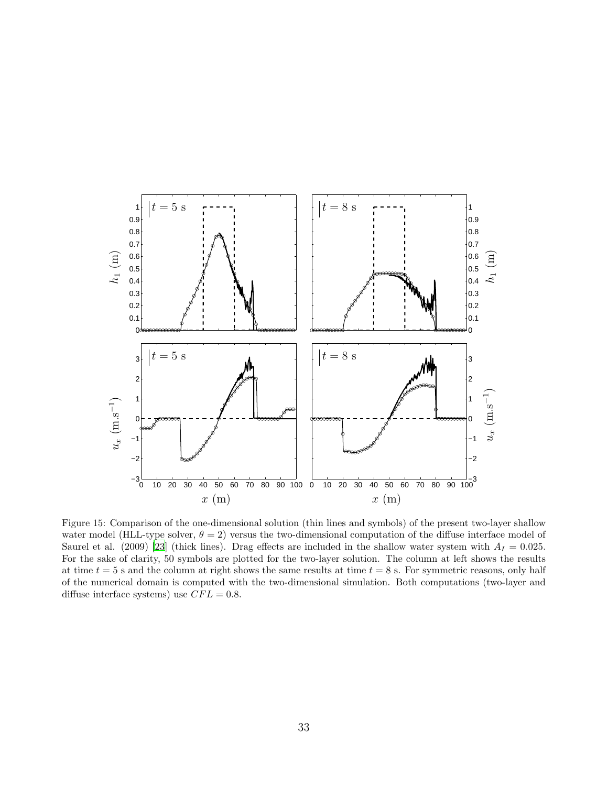<span id="page-32-0"></span>

Figure 15: Comparison of the one-dimensional solution (thin lines and symbols) of the present two-layer shallow water model (HLL-type solver,  $\theta = 2$ ) versus the two-dimensional computation of the diffuse interface model of Saurel et al. (2009) [\[23\]](#page-37-1) (thick lines). Drag effects are included in the shallow water system with  $A_I = 0.025$ . For the sake of clarity, 50 symbols are plotted for the two-layer solution. The column at left shows the results at time  $t = 5$  s and the column at right shows the same results at time  $t = 8$  s. For symmetric reasons, only half of the numerical domain is computed with the two-dimensional simulation. Both computations (two-layer and diffuse interface systems) use  $CFL = 0.8$ .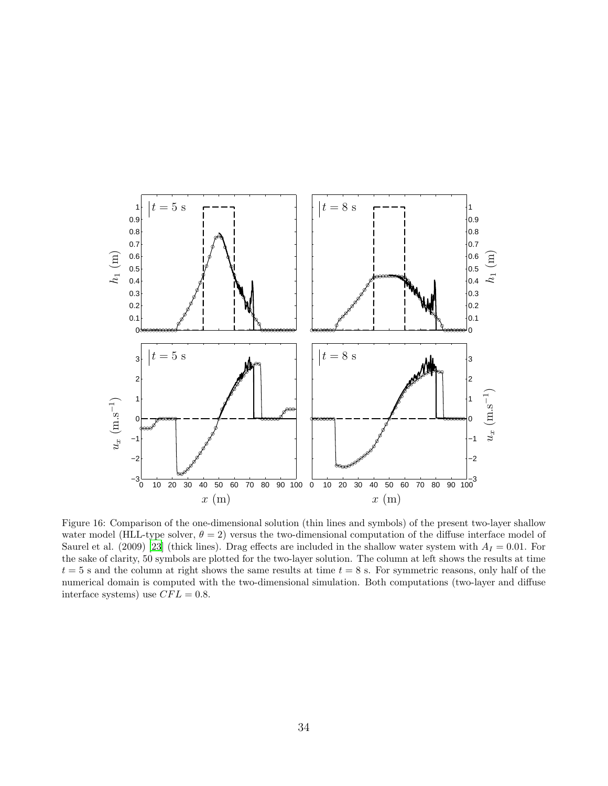<span id="page-33-0"></span>

Figure 16: Comparison of the one-dimensional solution (thin lines and symbols) of the present two-layer shallow water model (HLL-type solver,  $\theta = 2$ ) versus the two-dimensional computation of the diffuse interface model of Saurel et al. (2009) [\[23\]](#page-37-1) (thick lines). Drag effects are included in the shallow water system with  $A<sub>I</sub> = 0.01$ . For the sake of clarity, 50 symbols are plotted for the two-layer solution. The column at left shows the results at time  $t = 5$  s and the column at right shows the same results at time  $t = 8$  s. For symmetric reasons, only half of the numerical domain is computed with the two-dimensional simulation. Both computations (two-layer and diffuse interface systems) use  $CFL = 0.8$ .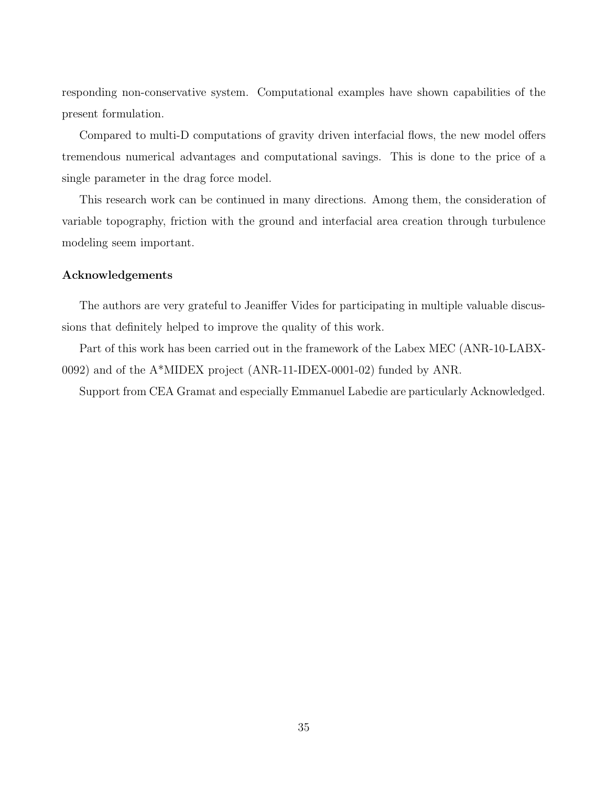responding non-conservative system. Computational examples have shown capabilities of the present formulation.

Compared to multi-D computations of gravity driven interfacial flows, the new model offers tremendous numerical advantages and computational savings. This is done to the price of a single parameter in the drag force model.

This research work can be continued in many directions. Among them, the consideration of variable topography, friction with the ground and interfacial area creation through turbulence modeling seem important.

## Acknowledgements

The authors are very grateful to Jeaniffer Vides for participating in multiple valuable discussions that definitely helped to improve the quality of this work.

Part of this work has been carried out in the framework of the Labex MEC (ANR-10-LABX-0092) and of the A\*MIDEX project (ANR-11-IDEX-0001-02) funded by ANR.

Support from CEA Gramat and especially Emmanuel Labedie are particularly Acknowledged.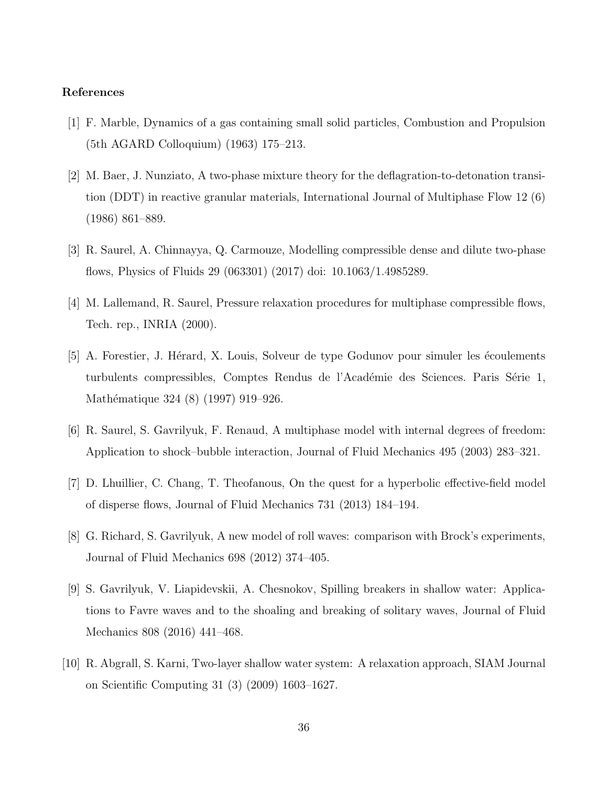# References

- <span id="page-35-0"></span>[1] F. Marble, Dynamics of a gas containing small solid particles, Combustion and Propulsion (5th AGARD Colloquium) (1963) 175–213.
- <span id="page-35-1"></span>[2] M. Baer, J. Nunziato, A two-phase mixture theory for the deflagration-to-detonation transition (DDT) in reactive granular materials, International Journal of Multiphase Flow 12 (6) (1986) 861–889.
- <span id="page-35-2"></span>[3] R. Saurel, A. Chinnayya, Q. Carmouze, Modelling compressible dense and dilute two-phase flows, Physics of Fluids 29 (063301) (2017) doi: 10.1063/1.4985289.
- <span id="page-35-3"></span>[4] M. Lallemand, R. Saurel, Pressure relaxation procedures for multiphase compressible flows, Tech. rep., INRIA (2000).
- <span id="page-35-4"></span>[5] A. Forestier, J. Hérard, X. Louis, Solveur de type Godunov pour simuler les écoulements turbulents compressibles, Comptes Rendus de l'Académie des Sciences. Paris Série 1, Mathématique 324 (8) (1997) 919–926.
- <span id="page-35-5"></span>[6] R. Saurel, S. Gavrilyuk, F. Renaud, A multiphase model with internal degrees of freedom: Application to shock–bubble interaction, Journal of Fluid Mechanics 495 (2003) 283–321.
- <span id="page-35-6"></span>[7] D. Lhuillier, C. Chang, T. Theofanous, On the quest for a hyperbolic effective-field model of disperse flows, Journal of Fluid Mechanics 731 (2013) 184–194.
- <span id="page-35-7"></span>[8] G. Richard, S. Gavrilyuk, A new model of roll waves: comparison with Brock's experiments, Journal of Fluid Mechanics 698 (2012) 374–405.
- <span id="page-35-8"></span>[9] S. Gavrilyuk, V. Liapidevskii, A. Chesnokov, Spilling breakers in shallow water: Applications to Favre waves and to the shoaling and breaking of solitary waves, Journal of Fluid Mechanics 808 (2016) 441–468.
- <span id="page-35-9"></span>[10] R. Abgrall, S. Karni, Two-layer shallow water system: A relaxation approach, SIAM Journal on Scientific Computing 31 (3) (2009) 1603–1627.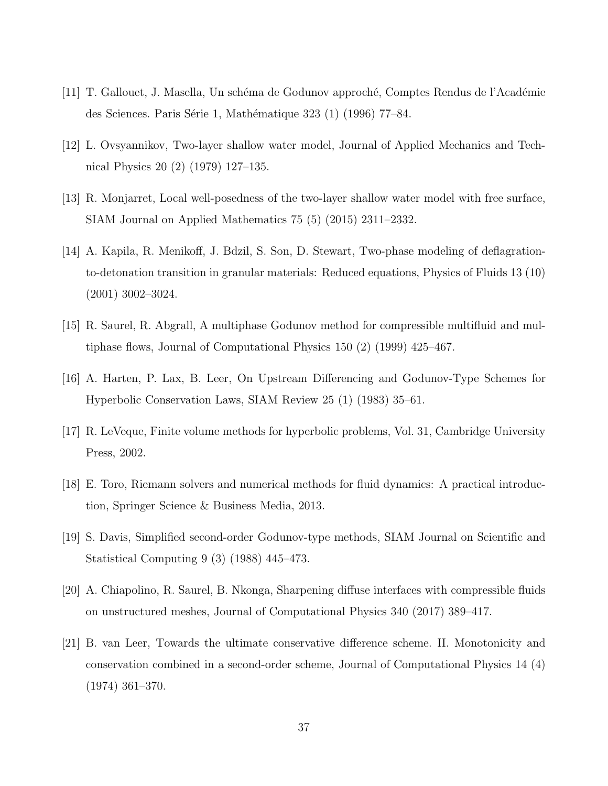- <span id="page-36-0"></span>[11] T. Gallouet, J. Masella, Un schéma de Godunov approché, Comptes Rendus de l'Académie des Sciences. Paris Série 1, Mathématique 323 (1) (1996) 77–84.
- <span id="page-36-1"></span>[12] L. Ovsyannikov, Two-layer shallow water model, Journal of Applied Mechanics and Technical Physics 20 (2) (1979) 127–135.
- <span id="page-36-2"></span>[13] R. Monjarret, Local well-posedness of the two-layer shallow water model with free surface, SIAM Journal on Applied Mathematics 75 (5) (2015) 2311–2332.
- <span id="page-36-3"></span>[14] A. Kapila, R. Menikoff, J. Bdzil, S. Son, D. Stewart, Two-phase modeling of deflagrationto-detonation transition in granular materials: Reduced equations, Physics of Fluids 13 (10) (2001) 3002–3024.
- <span id="page-36-4"></span>[15] R. Saurel, R. Abgrall, A multiphase Godunov method for compressible multifluid and multiphase flows, Journal of Computational Physics 150 (2) (1999) 425–467.
- <span id="page-36-5"></span>[16] A. Harten, P. Lax, B. Leer, On Upstream Differencing and Godunov-Type Schemes for Hyperbolic Conservation Laws, SIAM Review 25 (1) (1983) 35–61.
- <span id="page-36-6"></span>[17] R. LeVeque, Finite volume methods for hyperbolic problems, Vol. 31, Cambridge University Press, 2002.
- <span id="page-36-7"></span>[18] E. Toro, Riemann solvers and numerical methods for fluid dynamics: A practical introduction, Springer Science & Business Media, 2013.
- <span id="page-36-8"></span>[19] S. Davis, Simplified second-order Godunov-type methods, SIAM Journal on Scientific and Statistical Computing 9 (3) (1988) 445–473.
- <span id="page-36-9"></span>[20] A. Chiapolino, R. Saurel, B. Nkonga, Sharpening diffuse interfaces with compressible fluids on unstructured meshes, Journal of Computational Physics 340 (2017) 389–417.
- <span id="page-36-10"></span>[21] B. van Leer, Towards the ultimate conservative difference scheme. II. Monotonicity and conservation combined in a second-order scheme, Journal of Computational Physics 14 (4) (1974) 361–370.